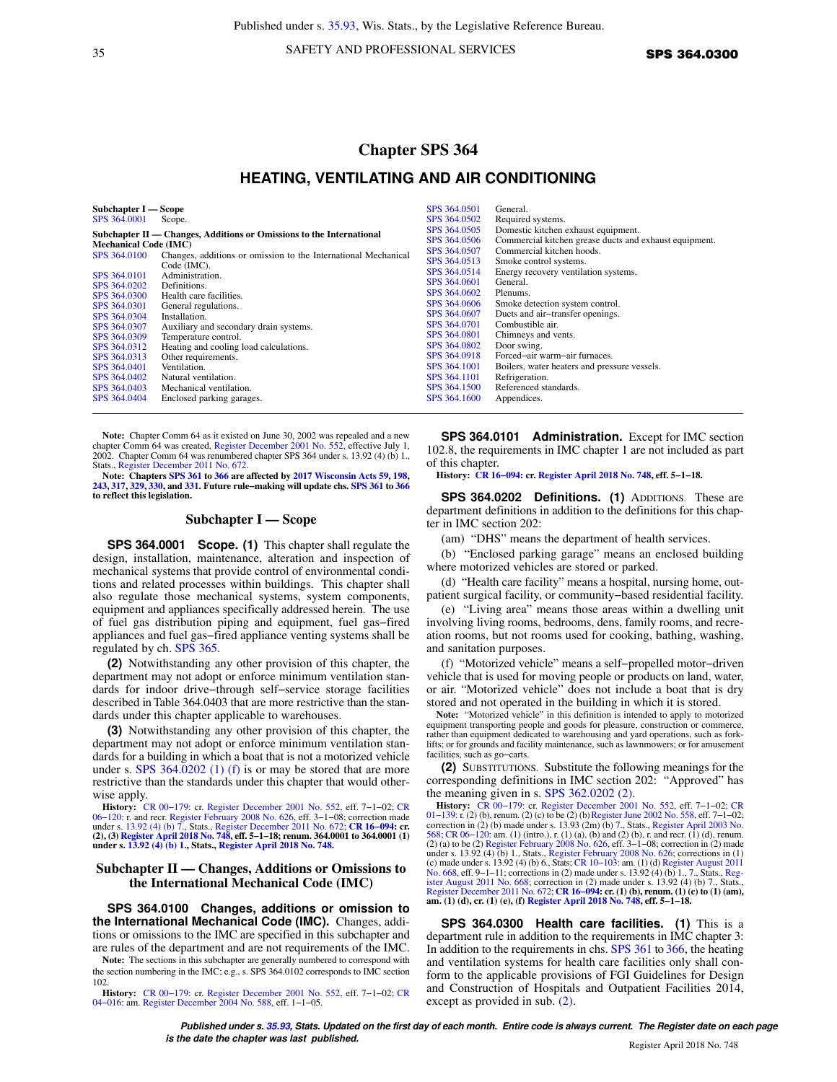35 SAFETY AND PROFESSIONAL SERVICES SPS 364.0300

# **Chapter SPS 364 HEATING, VENTILATING AND AIR CONDITIONING**

| Subchapter I — Scope                                                 |                                                                               | SPS 364,0501                 | General.                                                                                      |
|----------------------------------------------------------------------|-------------------------------------------------------------------------------|------------------------------|-----------------------------------------------------------------------------------------------|
| SPS 364,0001                                                         | Scope.                                                                        | SPS 364,0502                 | Required systems.                                                                             |
| Subchapter II — Changes, Additions or Omissions to the International |                                                                               | SPS 364,0505<br>SPS 364,0506 | Domestic kitchen exhaust equipment.<br>Commercial kitchen grease ducts and exhaust equipment. |
| <b>Mechanical Code (IMC)</b>                                         |                                                                               | SPS 364,0507                 | Commercial kitchen hoods.                                                                     |
| SPS 364,0100                                                         | Changes, additions or omission to the International Mechanical<br>Code (IMC). | SPS 364,0513                 | Smoke control systems.                                                                        |
| SPS 364,0101                                                         | Administration.                                                               | SPS 364,0514                 | Energy recovery ventilation systems.                                                          |
| SPS 364,0202                                                         | Definitions.                                                                  | SPS 364,0601                 | General.                                                                                      |
| SPS 364,0300                                                         | Health care facilities.                                                       | SPS 364,0602                 | Plenums.                                                                                      |
| SPS 364,0301                                                         | General regulations.                                                          | SPS 364,0606                 | Smoke detection system control.                                                               |
| SPS 364,0304                                                         | Installation.                                                                 | SPS 364,0607                 | Ducts and air-transfer openings.                                                              |
| SPS 364,0307                                                         | Auxiliary and secondary drain systems.                                        | SPS 364,0701                 | Combustible air.                                                                              |
| SPS 364,0309                                                         | Temperature control.                                                          | SPS 364,0801                 | Chimneys and vents.                                                                           |
| SPS 364,0312                                                         | Heating and cooling load calculations.                                        | SPS 364,0802                 | Door swing.                                                                                   |
| SPS 364,0313                                                         | Other requirements.                                                           | SPS 364.0918                 | Forced-air warm-air furnaces.                                                                 |
| SPS 364,0401                                                         | Ventilation.                                                                  | SPS 364.1001                 | Boilers, water heaters and pressure vessels.                                                  |
| SPS 364,0402                                                         | Natural ventilation.                                                          | SPS 364.1101                 | Refrigeration.                                                                                |
| SPS 364,0403                                                         | Mechanical ventilation.                                                       | SPS 364.1500                 | Referenced standards.                                                                         |
| SPS 364,0404                                                         | Enclosed parking garages.                                                     | SPS 364.1600                 | Appendices.                                                                                   |

**Note:** Chapter Comm 64 as it existed on June 30, 2002 was repealed and a new chapter Comm 64 was created, [Register December 2001 No. 552](https://docs-preview.legis.wisconsin.gov/document/register/552/B/toc), effective July 1, 2002. Chapter Comm 64 was renumbered chapter SPS 364 under s. 13.92 (4) (b) 1., Stats., [Register December 2011 No. 672](https://docs-preview.legis.wisconsin.gov/document/register/672/B/toc).

**Note: Chapters [SPS 361](https://docs-preview.legis.wisconsin.gov/document/administrativecode/ch.%20SPS%20361) to [366](https://docs-preview.legis.wisconsin.gov/document/administrativecode/ch.%20SPS%20366) are affected by [2017 Wisconsin Acts 59](https://docs-preview.legis.wisconsin.gov/document/acts/2017/59), [198](https://docs-preview.legis.wisconsin.gov/document/acts/2017/198), [243](https://docs-preview.legis.wisconsin.gov/document/acts/2017/243), [317,](https://docs-preview.legis.wisconsin.gov/document/acts/2017/317) [329,](https://docs-preview.legis.wisconsin.gov/document/acts/2017/329) [330](https://docs-preview.legis.wisconsin.gov/document/acts/2017/330), and [331.](https://docs-preview.legis.wisconsin.gov/document/acts/2017/331) Future rule−making will update chs. [SPS 361](https://docs-preview.legis.wisconsin.gov/document/administrativecode/ch.%20SPS%20361) to [366](https://docs-preview.legis.wisconsin.gov/document/administrativecode/ch.%20SPS%20366) to reflect this legislation.**

### **Subchapter I — Scope**

**SPS 364.0001 Scope. (1)** This chapter shall regulate the design, installation, maintenance, alteration and inspection of mechanical systems that provide control of environmental conditions and related processes within buildings. This chapter shall also regulate those mechanical systems, system components, equipment and appliances specifically addressed herein. The use of fuel gas distribution piping and equipment, fuel gas−fired appliances and fuel gas−fired appliance venting systems shall be regulated by ch. [SPS 365.](https://docs-preview.legis.wisconsin.gov/document/administrativecode/ch.%20SPS%20365)

**(2)** Notwithstanding any other provision of this chapter, the department may not adopt or enforce minimum ventilation standards for indoor drive−through self−service storage facilities described in Table 364.0403 that are more restrictive than the standards under this chapter applicable to warehouses.

**(3)** Notwithstanding any other provision of this chapter, the department may not adopt or enforce minimum ventilation standards for a building in which a boat that is not a motorized vehicle under s. [SPS 364.0202 \(1\) \(f\)](https://docs-preview.legis.wisconsin.gov/document/administrativecode/SPS%20364.0202(1)(f)) is or may be stored that are more restrictive than the standards under this chapter that would otherwise apply.

**History:** [CR 00−179:](https://docs-preview.legis.wisconsin.gov/document/cr/2000/179) cr. [Register December 2001 No. 552,](https://docs-preview.legis.wisconsin.gov/document/register/552/B/toc) eff. 7−1−02; [CR](https://docs-preview.legis.wisconsin.gov/document/cr/2006/120) 06–120: r. and recr. [Register February 2008 No. 626,](https://docs-preview.legis.wisconsin.gov/document/register/626/B/toc) eff. 3–1–08; correction made<br>under s. [13.92 \(4\) \(b\) 7.,](https://docs-preview.legis.wisconsin.gov/document/statutes/13.92(4)(b)7.) Stats., [Register December 2011 No. 672;](https://docs-preview.legis.wisconsin.gov/document/register/672/B/toc) CR 16–094: cr.<br>(2), (3) [Register April 2018 No. 748,](https://docs-preview.legis.wisconsin.gov/document/register/748/B/toc) eff. 5–1–18; renum. **under s. [13.92 \(4\) \(b\) 1.,](https://docs-preview.legis.wisconsin.gov/document/statutes/13.92(4)(b)1.) Stats., [Register April 2018 No. 748.](https://docs-preview.legis.wisconsin.gov/document/register/748/B/toc)**

#### **Subchapter II — Changes, Additions or Omissions to the International Mechanical Code (IMC)**

**SPS 364.0100 Changes, additions or omission to the International Mechanical Code (IMC).** Changes, additions or omissions to the IMC are specified in this subchapter and are rules of the department and are not requirements of the IMC.

Note: The sections in this subchapter are generally numbered to correspond with the section numbering in the IMC; e.g., s. SPS 364.0102 corresponds to IMC section 102.

**History:** [CR 00−179:](https://docs-preview.legis.wisconsin.gov/document/cr/2000/179) cr. [Register December 2001 No. 552,](https://docs-preview.legis.wisconsin.gov/document/register/552/B/toc) eff. 7−1−02; [CR](https://docs-preview.legis.wisconsin.gov/document/cr/2004/16) [04−016:](https://docs-preview.legis.wisconsin.gov/document/cr/2004/16) am. [Register December 2004 No. 588,](https://docs-preview.legis.wisconsin.gov/document/register/588/B/toc) eff. 1−1−05.

**SPS 364.0101 Administration.** Except for IMC section 102.8, the requirements in IMC chapter 1 are not included as part of this chapter.

**History: [CR 16−094:](https://docs-preview.legis.wisconsin.gov/document/cr/2016/94) cr. [Register April 2018 No. 748,](https://docs-preview.legis.wisconsin.gov/document/register/748/B/toc) eff. 5−1−18.**

**SPS 364.0202 Definitions. (1)** ADDITIONS. These are department definitions in addition to the definitions for this chapter in IMC section 202:

(am) "DHS" means the department of health services.

(b) "Enclosed parking garage" means an enclosed building where motorized vehicles are stored or parked.

(d) "Health care facility" means a hospital, nursing home, outpatient surgical facility, or community−based residential facility.

(e) "Living area" means those areas within a dwelling unit involving living rooms, bedrooms, dens, family rooms, and recreation rooms, but not rooms used for cooking, bathing, washing, and sanitation purposes.

(f) "Motorized vehicle" means a self−propelled motor−driven vehicle that is used for moving people or products on land, water, or air. "Motorized vehicle" does not include a boat that is dry stored and not operated in the building in which it is stored.

**Note:** "Motorized vehicle" in this definition is intended to apply to motorized equipment transporting people and goods for pleasure, construction or commerce, rather than equipment dedicated to warehousing and yard operations, such as forklifts; or for grounds and facility maintenance, such as lawnmowers; or for amusement facilities, such as go−carts.

**(2)** SUBSTITUTIONS. Substitute the following meanings for the corresponding definitions in IMC section 202: "Approved" has the meaning given in s.  $SPS$  362.0202 (2).

**History:** CR 00–179: cr. [Register December 2001 No. 552](https://docs-preview.legis.wisconsin.gov/document/register/552/B/toc), eff. 7–1–02; [CR](https://docs-preview.legis.wisconsin.gov/document/cr/2001/139) 00–139: r. (2) (b), renum. (2) (c) to be (2) (b) [Register June 2002 No. 558,](https://docs-preview.legis.wisconsin.gov/document/register/558/B/toc) eff. 7–1–02; CR correction in (2) (b) made under s. 13.93 (2m) (b) 7., [568;](https://docs-preview.legis.wisconsin.gov/document/register/568/B/toc) CR 06–120: am. (1) (intro.), r. (1) (a), (b) and (2) (b), r. and recr. (1) (d), renum.<br>(2) (a) to be (2) [Register February 2008 No. 626,](https://docs-preview.legis.wisconsin.gov/document/register/626/B/toc) eff. 3–1–08; correction in (2) made<br>under s. 13.92 (4) (b) 1., Stats., Register [No. 668](https://docs-preview.legis.wisconsin.gov/document/register/668/B/toc), eff. 9–1–11; corrections in (2) made under s. 13.92 (4) (b) 1., 7., Stats., [Reg](https://docs-preview.legis.wisconsin.gov/document/register/668/B/toc)[ister August 2011 No. 668;](https://docs-preview.legis.wisconsin.gov/document/register/668/B/toc) correction in (2) made under s. 13.92 (4) (b) 7., Stats., [Register December 2011 No. 672](https://docs-preview.legis.wisconsin.gov/document/register/672/B/toc); **[CR 16−094:](https://docs-preview.legis.wisconsin.gov/document/cr/2016/94) cr. (1) (b), renum. (1) (c) to (1) (am), am. (1) (d), cr. (1) (e), (f) [Register April 2018 No. 748,](https://docs-preview.legis.wisconsin.gov/document/register/748/B/toc) eff. 5−1−18.**

**SPS 364.0300 Health care facilities. (1)** This is a department rule in addition to the requirements in IMC chapter 3: In addition to the requirements in chs. [SPS 361](https://docs-preview.legis.wisconsin.gov/document/administrativecode/ch.%20SPS%20361) to [366](https://docs-preview.legis.wisconsin.gov/document/administrativecode/ch.%20SPS%20366), the heating and ventilation systems for health care facilities only shall conform to the applicable provisions of FGI Guidelines for Design and Construction of Hospitals and Outpatient Facilities 2014, except as provided in sub. [\(2\)](https://docs-preview.legis.wisconsin.gov/document/administrativecode/SPS%20364.0300(2)).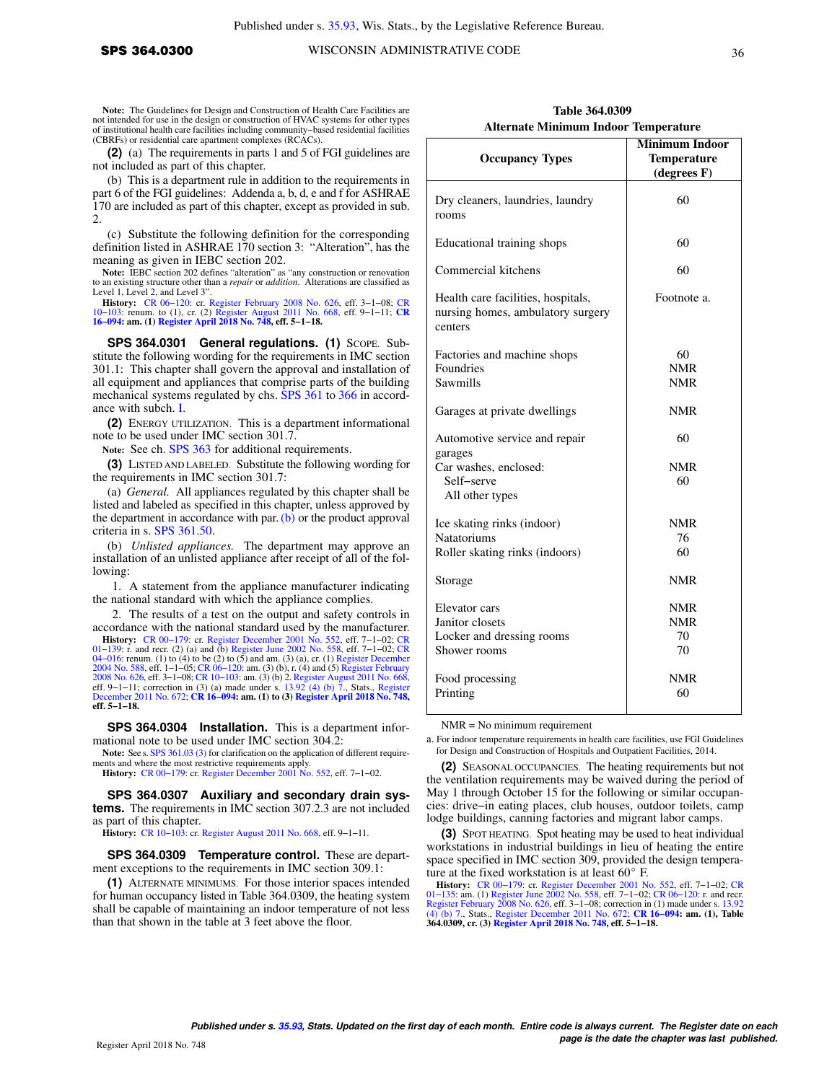Note: The Guidelines for Design and Construction of Health Care Facilities are not intended for use in the design or construction of HVAC systems for other types of institutional health care facilities including community−based residential facilities (CBRFs) or residential care apartment complexes (RCACs).

**(2)** (a) The requirements in parts 1 and 5 of FGI guidelines are not included as part of this chapter.

(b) This is a department rule in addition to the requirements in part 6 of the FGI guidelines: Addenda a, b, d, e and f for ASHRAE 170 are included as part of this chapter, except as provided in sub. 2.

(c) Substitute the following definition for the corresponding definition listed in ASHRAE 170 section 3: "Alteration", has the meaning as given in IEBC section 202.

**Note:** IEBC section 202 defines "alteration" as "any construction or renovation to an existing structure other than a *repair* or *addition*. Alterations are classified as Level 1, Level 2, and Level 3".

**History:** CR 06–120: cr. [Register February 2008 No. 626,](https://docs-preview.legis.wisconsin.gov/document/register/626/B/toc) eff. 3–1–08; [CR](https://docs-preview.legis.wisconsin.gov/document/cr/2016/94) 10–103: renum. to (1), cr. (2) [Register August 2011 No. 668](https://docs-preview.legis.wisconsin.gov/document/register/668/B/toc), eff. 9–1–11; CR 16–094: am. (1) [Register April 2018 No. 748](https://docs-preview.legis.wisconsin.gov/document/register/748/B/toc), eff. 5–1–18.

SPS 364.0301 General regulations. (1) Scope. Substitute the following wording for the requirements in IMC section 301.1: This chapter shall govern the approval and installation of all equipment and appliances that comprise parts of the building mechanical systems regulated by chs. [SPS 361](https://docs-preview.legis.wisconsin.gov/document/administrativecode/ch.%20SPS%20361) to [366](https://docs-preview.legis.wisconsin.gov/document/administrativecode/ch.%20SPS%20366) in accordance with subch. [I.](https://docs-preview.legis.wisconsin.gov/document/administrativecode/subch.%20I%20of%20ch.%20SPS%20364)

**(2)** ENERGY UTILIZATION. This is a department informational note to be used under IMC section 301.7.

**Note:** See ch. [SPS 363](https://docs-preview.legis.wisconsin.gov/document/administrativecode/ch.%20SPS%20363) for additional requirements.

**(3)** LISTED AND LABELED. Substitute the following wording for the requirements in IMC section 301.7:

(a) *General.* All appliances regulated by this chapter shall be listed and labeled as specified in this chapter, unless approved by the department in accordance with par. [\(b\)](https://docs-preview.legis.wisconsin.gov/document/administrativecode/SPS%20364.0301(3)(b)) or the product approval criteria in s. [SPS 361.50](https://docs-preview.legis.wisconsin.gov/document/administrativecode/SPS%20361.50).

(b) *Unlisted appliances.* The department may approve an installation of an unlisted appliance after receipt of all of the following:

1. A statement from the appliance manufacturer indicating the national standard with which the appliance complies.

2. The results of a test on the output and safety controls in accordance with the national standard used by the manufacturer.

**History:** [CR 00−179:](https://docs-preview.legis.wisconsin.gov/document/cr/2000/179) cr. [Register December 2001 No. 552,](https://docs-preview.legis.wisconsin.gov/document/register/552/B/toc) eff. 7−1−02; [CR](https://docs-preview.legis.wisconsin.gov/document/cr/2001/139) 01–139: r. and recr. (2) (a) and (b) [Register June 2002 No. 558,](https://docs-preview.legis.wisconsin.gov/document/register/558/B/toc) eff. 7–1–02; [CR](https://docs-preview.legis.wisconsin.gov/document/cr/2004/16)<br>04–016: renum. (1) to (4) to be (2) to (5) and am. (3) (a), cr. (1) [Register December](https://docs-preview.legis.wisconsin.gov/document/register/588/B/toc)<br>[2004 No. 588,](https://docs-preview.legis.wisconsin.gov/document/register/588/B/toc) eff. 1–1–05; CR 06–120: am. (3) (b), r. ( [2008 No. 626](https://docs-preview.legis.wisconsin.gov/document/register/626/B/toc), eff. 3–1–08; CR 10–103: am. (3) (b) 2. [Register August 2011 No. 668](https://docs-preview.legis.wisconsin.gov/document/register/668/B/toc),<br>eff. 9–1–11; correction in (3) (a) made under s. [13.92 \(4\) \(b\) 7.,](https://docs-preview.legis.wisconsin.gov/document/statutes/13.92(4)(b)7.) Stats., [Register](https://docs-preview.legis.wisconsin.gov/document/register/672/B/toc)<br>[December 2011 No. 672](https://docs-preview.legis.wisconsin.gov/document/register/672/B/toc); CR 16–094: am. (1) to (3) Regist **eff. 5−1−18.**

**SPS 364.0304 Installation.** This is a department informational note to be used under IMC section 304.2:

**Note:** See s. [SPS 361.03 \(3\)](https://docs-preview.legis.wisconsin.gov/document/administrativecode/SPS%20361.03(3)) for clarification on the application of different requirements and where the most restrictive requirements apply.

**History:** [CR 00−179](https://docs-preview.legis.wisconsin.gov/document/cr/2000/179): cr. [Register December 2001 No. 552,](https://docs-preview.legis.wisconsin.gov/document/register/552/B/toc) eff. 7−1−02.

**SPS 364.0307 Auxiliary and secondary drain systems.** The requirements in IMC section 307.2.3 are not included as part of this chapter.

**History:** [CR 10−103](https://docs-preview.legis.wisconsin.gov/document/cr/2010/103): cr. [Register August 2011 No. 668,](https://docs-preview.legis.wisconsin.gov/document/register/668/B/toc) eff. 9−1−11.

**SPS 364.0309 Temperature control.** These are department exceptions to the requirements in IMC section 309.1:

**(1)** ALTERNATE MINIMUMS. For those interior spaces intended for human occupancy listed in Table 364.0309, the heating system shall be capable of maintaining an indoor temperature of not less than that shown in the table at 3 feet above the floor.

| Table 364.0309                              |  |  |  |  |
|---------------------------------------------|--|--|--|--|
| <b>Alternate Minimum Indoor Temperature</b> |  |  |  |  |

| <b>Occupancy Types</b>                                                             | <b>Minimum Indoor</b><br><b>Temperature</b><br>(degrees F) |  |
|------------------------------------------------------------------------------------|------------------------------------------------------------|--|
| Dry cleaners, laundries, laundry<br>rooms                                          | 60                                                         |  |
| Educational training shops                                                         | 60                                                         |  |
| Commercial kitchens                                                                | 60                                                         |  |
| Health care facilities, hospitals,<br>nursing homes, ambulatory surgery<br>centers | Footnote a.                                                |  |
| Factories and machine shops                                                        | 60                                                         |  |
| Foundries                                                                          | <b>NMR</b>                                                 |  |
| Sawmills                                                                           | <b>NMR</b>                                                 |  |
| Garages at private dwellings                                                       | <b>NMR</b>                                                 |  |
| Automotive service and repair<br>garages                                           | 60                                                         |  |
| Car washes, enclosed:                                                              | <b>NMR</b>                                                 |  |
| Self-serve                                                                         | 60                                                         |  |
| All other types                                                                    |                                                            |  |
| Ice skating rinks (indoor)                                                         | <b>NMR</b>                                                 |  |
| <b>Natatoriums</b>                                                                 | 76                                                         |  |
| Roller skating rinks (indoors)                                                     | 60                                                         |  |
| Storage                                                                            | NMR                                                        |  |
| Elevator cars                                                                      | <b>NMR</b>                                                 |  |
| Janitor closets                                                                    | <b>NMR</b>                                                 |  |
| Locker and dressing rooms                                                          | 70                                                         |  |
| Shower rooms                                                                       | 70                                                         |  |
| Food processing                                                                    | <b>NMR</b>                                                 |  |
| Printing                                                                           | 60                                                         |  |

NMR = No minimum requirement

a. For indoor temperature requirements in health care facilities, use FGI Guidelines for Design and Construction of Hospitals and Outpatient Facilities, 2014.

**(2)** SEASONAL OCCUPANCIES. The heating requirements but not the ventilation requirements may be waived during the period of May 1 through October 15 for the following or similar occupancies: drive−in eating places, club houses, outdoor toilets, camp lodge buildings, canning factories and migrant labor camps.

**(3)** SPOT HEATING. Spot heating may be used to heat individual workstations in industrial buildings in lieu of heating the entire space specified in IMC section 309, provided the design temperature at the fixed workstation is at least  $60^{\circ}$  F.

**History:** [CR 00−179](https://docs-preview.legis.wisconsin.gov/document/cr/2000/179): cr. [Register December 2001 No. 552](https://docs-preview.legis.wisconsin.gov/document/register/552/B/toc), eff. 7−1−02; [CR](https://docs-preview.legis.wisconsin.gov/document/cr/2001/135) [01−135](https://docs-preview.legis.wisconsin.gov/document/cr/2001/135): am. (1) [Register June 2002 No. 558](https://docs-preview.legis.wisconsin.gov/document/register/558/B/toc), eff. 7−1−02; [CR 06−120](https://docs-preview.legis.wisconsin.gov/document/cr/2006/120): r. and recr. [Register February 2008 No. 626](https://docs-preview.legis.wisconsin.gov/document/register/626/B/toc), eff. 3–1–08; correction in (1) made under s. [13.92](https://docs-preview.legis.wisconsin.gov/document/statutes/13.92(4)(b)7.)<br>[\(4\) \(b\) 7.,](https://docs-preview.legis.wisconsin.gov/document/statutes/13.92(4)(b)7.) Stats., [Register December 2011 No. 672](https://docs-preview.legis.wisconsin.gov/document/register/672/B/toc); **CR 16–094: am. (1), Table**<br>**364.0309, cr. (3) [Register April 2018 No. 748,](https://docs-preview.legis.wisconsin.gov/document/register/748/B/toc) eff. 5–1–18**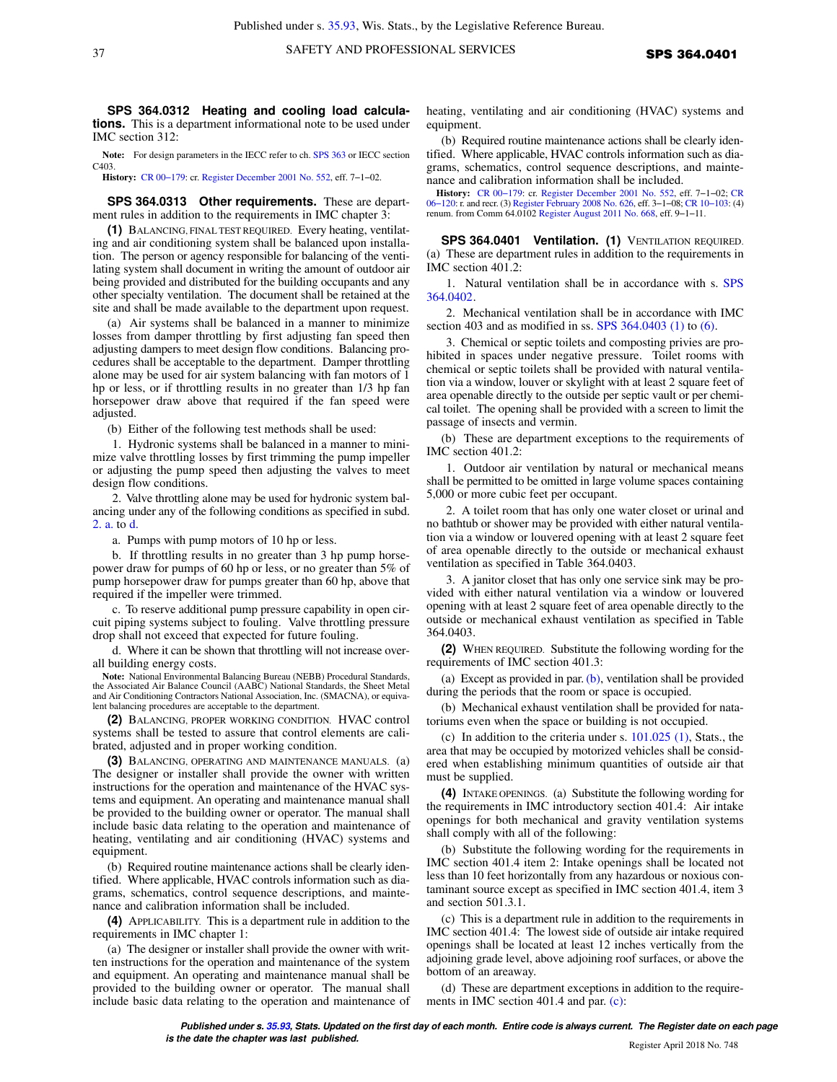**SPS 364.0312 Heating and cooling load calculations.** This is a department informational note to be used under IMC section 312:

**Note:** For design parameters in the IECC refer to ch. [SPS 363](https://docs-preview.legis.wisconsin.gov/document/administrativecode/ch.%20SPS%20363) or IECC section C403.

**History:** [CR 00−179](https://docs-preview.legis.wisconsin.gov/document/cr/2000/179): cr. [Register December 2001 No. 552,](https://docs-preview.legis.wisconsin.gov/document/register/552/B/toc) eff. 7−1−02.

**SPS 364.0313 Other requirements.** These are department rules in addition to the requirements in IMC chapter 3:

**(1)** BALANCING, FINAL TEST REQUIRED. Every heating, ventilating and air conditioning system shall be balanced upon installation. The person or agency responsible for balancing of the ventilating system shall document in writing the amount of outdoor air being provided and distributed for the building occupants and any other specialty ventilation. The document shall be retained at the site and shall be made available to the department upon request.

(a) Air systems shall be balanced in a manner to minimize losses from damper throttling by first adjusting fan speed then adjusting dampers to meet design flow conditions. Balancing procedures shall be acceptable to the department. Damper throttling alone may be used for air system balancing with fan motors of 1 hp or less, or if throttling results in no greater than 1/3 hp fan horsepower draw above that required if the fan speed were adjusted.

(b) Either of the following test methods shall be used:

1. Hydronic systems shall be balanced in a manner to minimize valve throttling losses by first trimming the pump impeller or adjusting the pump speed then adjusting the valves to meet design flow conditions.

2. Valve throttling alone may be used for hydronic system balancing under any of the following conditions as specified in subd. [2. a.](https://docs-preview.legis.wisconsin.gov/document/administrativecode/SPS%20364.0313(1)(b)2.a.) to [d.](https://docs-preview.legis.wisconsin.gov/document/administrativecode/SPS%20364.0313(1)(b)2.d.)

a. Pumps with pump motors of 10 hp or less.

b. If throttling results in no greater than 3 hp pump horsepower draw for pumps of 60 hp or less, or no greater than 5% of pump horsepower draw for pumps greater than 60 hp, above that required if the impeller were trimmed.

c. To reserve additional pump pressure capability in open circuit piping systems subject to fouling. Valve throttling pressure drop shall not exceed that expected for future fouling.

d. Where it can be shown that throttling will not increase overall building energy costs.

**Note:** National Environmental Balancing Bureau (NEBB) Procedural Standards, the Associated Air Balance Council (AABC) National Standards, the Sheet Metal and Air Conditioning Contractors National Association, Inc. (SMACNA), or equivalent balancing procedures are acceptable to the department.

**(2)** BALANCING, PROPER WORKING CONDITION*.* HVAC control systems shall be tested to assure that control elements are calibrated, adjusted and in proper working condition.

**(3)** BALANCING, OPERATING AND MAINTENANCE MANUALS. (a) The designer or installer shall provide the owner with written instructions for the operation and maintenance of the HVAC systems and equipment. An operating and maintenance manual shall be provided to the building owner or operator. The manual shall include basic data relating to the operation and maintenance of heating, ventilating and air conditioning (HVAC) systems and equipment.

(b) Required routine maintenance actions shall be clearly identified. Where applicable, HVAC controls information such as diagrams, schematics, control sequence descriptions, and maintenance and calibration information shall be included.

**(4)** APPLICABILITY. This is a department rule in addition to the requirements in IMC chapter 1:

(a) The designer or installer shall provide the owner with written instructions for the operation and maintenance of the system and equipment. An operating and maintenance manual shall be provided to the building owner or operator. The manual shall include basic data relating to the operation and maintenance of heating, ventilating and air conditioning (HVAC) systems and equipment.

(b) Required routine maintenance actions shall be clearly identified. Where applicable, HVAC controls information such as diagrams, schematics, control sequence descriptions, and maintenance and calibration information shall be included.

**History:** [CR 00−179](https://docs-preview.legis.wisconsin.gov/document/cr/2000/179): cr. [Register December 2001 No. 552](https://docs-preview.legis.wisconsin.gov/document/register/552/B/toc), eff. 7−1−02; [CR](https://docs-preview.legis.wisconsin.gov/document/cr/2006/120) [06−120](https://docs-preview.legis.wisconsin.gov/document/cr/2006/120): r. and recr. (3) [Register February 2008 No. 626,](https://docs-preview.legis.wisconsin.gov/document/register/626/B/toc) eff. 3−1−08; [CR 10−103:](https://docs-preview.legis.wisconsin.gov/document/cr/2010/103) (4) renum. from Comm 64.0102 [Register August 2011 No. 668,](https://docs-preview.legis.wisconsin.gov/document/register/668/B/toc) eff. 9−1−11.

**SPS 364.0401 Ventilation. (1)** VENTILATION REQUIRED. (a) These are department rules in addition to the requirements in IMC section 401.2:

1. Natural ventilation shall be in accordance with s. [SPS](https://docs-preview.legis.wisconsin.gov/document/administrativecode/SPS%20364.0402) [364.0402](https://docs-preview.legis.wisconsin.gov/document/administrativecode/SPS%20364.0402).

2. Mechanical ventilation shall be in accordance with IMC section 403 and as modified in ss. [SPS 364.0403 \(1\)](https://docs-preview.legis.wisconsin.gov/document/administrativecode/SPS%20364.0403(1)) to [\(6\).](https://docs-preview.legis.wisconsin.gov/document/administrativecode/SPS%20364.0403(6))

3. Chemical or septic toilets and composting privies are prohibited in spaces under negative pressure. Toilet rooms with chemical or septic toilets shall be provided with natural ventilation via a window, louver or skylight with at least 2 square feet of area openable directly to the outside per septic vault or per chemical toilet. The opening shall be provided with a screen to limit the passage of insects and vermin.

(b) These are department exceptions to the requirements of IMC section 401.2:

1. Outdoor air ventilation by natural or mechanical means shall be permitted to be omitted in large volume spaces containing 5,000 or more cubic feet per occupant.

2. A toilet room that has only one water closet or urinal and no bathtub or shower may be provided with either natural ventilation via a window or louvered opening with at least 2 square feet of area openable directly to the outside or mechanical exhaust ventilation as specified in Table 364.0403.

3. A janitor closet that has only one service sink may be provided with either natural ventilation via a window or louvered opening with at least 2 square feet of area openable directly to the outside or mechanical exhaust ventilation as specified in Table 364.0403.

**(2)** WHEN REQUIRED. Substitute the following wording for the requirements of IMC section 401.3:

(a) Except as provided in par.  $(b)$ , ventilation shall be provided during the periods that the room or space is occupied.

(b) Mechanical exhaust ventilation shall be provided for natatoriums even when the space or building is not occupied.

(c) In addition to the criteria under s. [101.025 \(1\)](https://docs-preview.legis.wisconsin.gov/document/statutes/101.025(1)), Stats., the area that may be occupied by motorized vehicles shall be considered when establishing minimum quantities of outside air that must be supplied.

**(4)** INTAKE OPENINGS. (a) Substitute the following wording for the requirements in IMC introductory section 401.4: Air intake openings for both mechanical and gravity ventilation systems shall comply with all of the following:

(b) Substitute the following wording for the requirements in IMC section 401.4 item 2: Intake openings shall be located not less than 10 feet horizontally from any hazardous or noxious contaminant source except as specified in IMC section 401.4, item 3 and section 501.3.1.

(c) This is a department rule in addition to the requirements in IMC section 401.4: The lowest side of outside air intake required openings shall be located at least 12 inches vertically from the adjoining grade level, above adjoining roof surfaces, or above the bottom of an areaway.

(d) These are department exceptions in addition to the requirements in IMC section 401.4 and par. [\(c\)](https://docs-preview.legis.wisconsin.gov/document/administrativecode/SPS%20364.0401(4)(c)):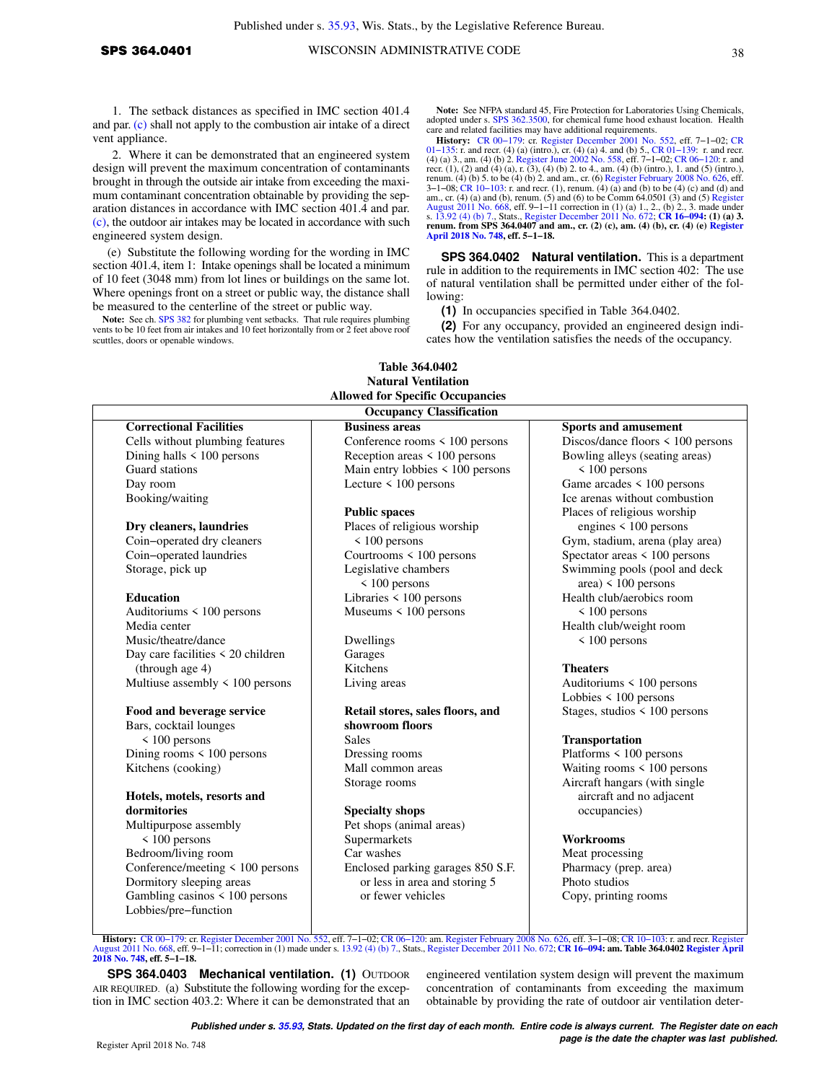1. The setback distances as specified in IMC section 401.4 and par. [\(c\)](https://docs-preview.legis.wisconsin.gov/document/administrativecode/SPS%20364.0401(4)(c)) shall not apply to the combustion air intake of a direct vent appliance.

2. Where it can be demonstrated that an engineered system design will prevent the maximum concentration of contaminants brought in through the outside air intake from exceeding the maximum contaminant concentration obtainable by providing the separation distances in accordance with IMC section 401.4 and par. [\(c\),](https://docs-preview.legis.wisconsin.gov/document/administrativecode/SPS%20364.0401(4)(c)) the outdoor air intakes may be located in accordance with such engineered system design.

(e) Substitute the following wording for the wording in IMC section 401.4, item 1: Intake openings shall be located a minimum of 10 feet (3048 mm) from lot lines or buildings on the same lot. Where openings front on a street or public way, the distance shall be measured to the centerline of the street or public way.

**Note:** See ch. [SPS 382](https://docs-preview.legis.wisconsin.gov/document/administrativecode/ch.%20SPS%20382) for plumbing vent setbacks. That rule requires plumbing vents to be 10 feet from air intakes and 10 feet horizontally from or 2 feet above roof scuttles, doors or openable windows.

Note: See NFPA standard 45, Fire Protection for Laboratories Using Chemicals, adopted under s. [SPS 362.3500,](https://docs-preview.legis.wisconsin.gov/document/administrativecode/SPS%20362.3500) for chemical fume hood exhaust location. Health care and related facilities may have additional requirements.

**History:** [CR 00−179](https://docs-preview.legis.wisconsin.gov/document/cr/2000/179): cr. [Register December 2001 No. 552](https://docs-preview.legis.wisconsin.gov/document/register/552/B/toc), eff. 7−1−02; [CR](https://docs-preview.legis.wisconsin.gov/document/cr/2001/135) 01–135: r. and recr. (4) (a) (intro.), cr. (4) (a) 4. and (b) 5., CR 01–139: r. and recr. (4) (a) 3., am. (4) (b) 2. [Register June 2002 No. 558,](https://docs-preview.legis.wisconsin.gov/document/register/558/B/toc) eff.  $7$ –1–02; CR 06–120: r. and (5) cr. and (2) and (4) (a), r. (3), (4) (b 3−1−08; [CR 10−103:](https://docs-preview.legis.wisconsin.gov/document/cr/2010/103) r. and recr. (1), renum. (4) (a) and (b) to be (4) (c) and (d) and (a) and am., cr. (4) (a) and (b), renum. (5) and (6) to be Comm 64.0501 (3) and (5) [Register](https://docs-preview.legis.wisconsin.gov/document/register/668/B/toc) [August 2011 No. 668,](https://docs-preview.legis.wisconsin.gov/document/register/668/B/toc) eff. 9–1–11 correction in (1) (a) 1., 2., (b) 2., 3. made under<br>s. [13.92 \(4\) \(b\) 7.](https://docs-preview.legis.wisconsin.gov/document/statutes/13.92(4)(b)7.), Stats., [Register December 2011 No. 672](https://docs-preview.legis.wisconsin.gov/document/register/672/B/toc); CR 16–094: (1) (a) 3.<br>renum. from SPS 364.0407 and am., cr. (2) (c), am. (4) **[April 2018 No. 748](https://docs-preview.legis.wisconsin.gov/document/register/748/B/toc), eff. 5−1−18.**

**SPS 364.0402 Natural ventilation.** This is a department rule in addition to the requirements in IMC section 402: The use of natural ventilation shall be permitted under either of the following:

**(1)** In occupancies specified in Table 364.0402.

**(2)** For any occupancy, provided an engineered design indicates how the ventilation satisfies the needs of the occupancy.

|                                      | <b>Occupancy Classification</b>       |                                        |
|--------------------------------------|---------------------------------------|----------------------------------------|
| <b>Correctional Facilities</b>       | <b>Business areas</b>                 | <b>Sports and amusement</b>            |
| Cells without plumbing features      | Conference rooms $\leq 100$ persons   | Discos/dance floors $\leq 100$ persons |
| Dining halls $\leq 100$ persons      | Reception areas $\leq 100$ persons    | Bowling alleys (seating areas)         |
| Guard stations                       | Main entry lobbies $\leq 100$ persons | $\leq 100$ persons                     |
| Day room                             | Lecture $\leq 100$ persons            | Game arcades < 100 persons             |
| Booking/waiting                      |                                       | Ice arenas without combustion          |
|                                      | <b>Public spaces</b>                  | Places of religious worship            |
| Dry cleaners, laundries              | Places of religious worship           | engines $\leq 100$ persons             |
| Coin-operated dry cleaners           | < 100 persons                         | Gym, stadium, arena (play area)        |
| Coin-operated laundries              | Courtrooms < 100 persons              | Spectator areas < 100 persons          |
| Storage, pick up                     | Legislative chambers                  | Swimming pools (pool and deck          |
|                                      | $\leq 100$ persons                    | area) $\leq 100$ persons               |
| <b>Education</b>                     | Libraries < 100 persons               | Health club/aerobics room              |
| Auditoriums < 100 persons            | Museums $\leq 100$ persons            | $\leq 100$ persons                     |
| Media center                         |                                       | Health club/weight room                |
| Music/theatre/dance                  | Dwellings                             | $< 100$ persons                        |
| Day care facilities < 20 children    | Garages                               |                                        |
| (through age 4)                      | Kitchens                              | <b>Theaters</b>                        |
| Multiuse assembly $\leq 100$ persons | Living areas                          | Auditoriums $\leq 100$ persons         |
|                                      |                                       | Lobbies < 100 persons                  |
| Food and beverage service            | Retail stores, sales floors, and      | Stages, studios < 100 persons          |
| Bars, cocktail lounges               | showroom floors                       |                                        |
| $\leq 100$ persons                   | <b>Sales</b>                          | <b>Transportation</b>                  |
| Dining rooms $\leq 100$ persons      | Dressing rooms                        | Platforms < 100 persons                |
| Kitchens (cooking)                   | Mall common areas                     | Waiting rooms $\leq 100$ persons       |
|                                      | Storage rooms                         | Aircraft hangars (with single          |
| Hotels, motels, resorts and          |                                       | aircraft and no adjacent               |
| dormitories                          | <b>Specialty shops</b>                | occupancies)                           |
| Multipurpose assembly                | Pet shops (animal areas)              |                                        |
| $\leq 100$ persons                   | Supermarkets                          | <b>Workrooms</b>                       |
| Bedroom/living room                  | Car washes                            | Meat processing                        |
| Conference/meeting < 100 persons     | Enclosed parking garages 850 S.F.     | Pharmacy (prep. area)                  |
| Dormitory sleeping areas             | or less in area and storing 5         | Photo studios                          |
| Gambling casinos < 100 persons       | or fewer vehicles                     | Copy, printing rooms                   |
| Lobbies/pre-function                 |                                       |                                        |

**Table 364.0402**

[August 2011 No. 668,](https://docs-preview.legis.wisconsin.gov/document/register/668/B/toc) eff. 9−1−11; correction in (1) made under s. [13.92 \(4\) \(b\) 7.](https://docs-preview.legis.wisconsin.gov/document/statutes/13.92(4)(b)7.), Stats., [Register December 2011 No. 672;](https://docs-preview.legis.wisconsin.gov/document/register/672/B/toc) **[CR 16−094:](https://docs-preview.legis.wisconsin.gov/document/cr/2016/94) am. Table 364.0402 [Register April](https://docs-preview.legis.wisconsin.gov/document/register/748/B/toc) [2018 No. 748](https://docs-preview.legis.wisconsin.gov/document/register/748/B/toc), eff. 5−1−18.**

**SPS 364.0403 Mechanical ventilation. (1)** OUTDOOR AIR REQUIRED. (a) Substitute the following wording for the exception in IMC section 403.2: Where it can be demonstrated that an engineered ventilation system design will prevent the maximum concentration of contaminants from exceeding the maximum obtainable by providing the rate of outdoor air ventilation deter-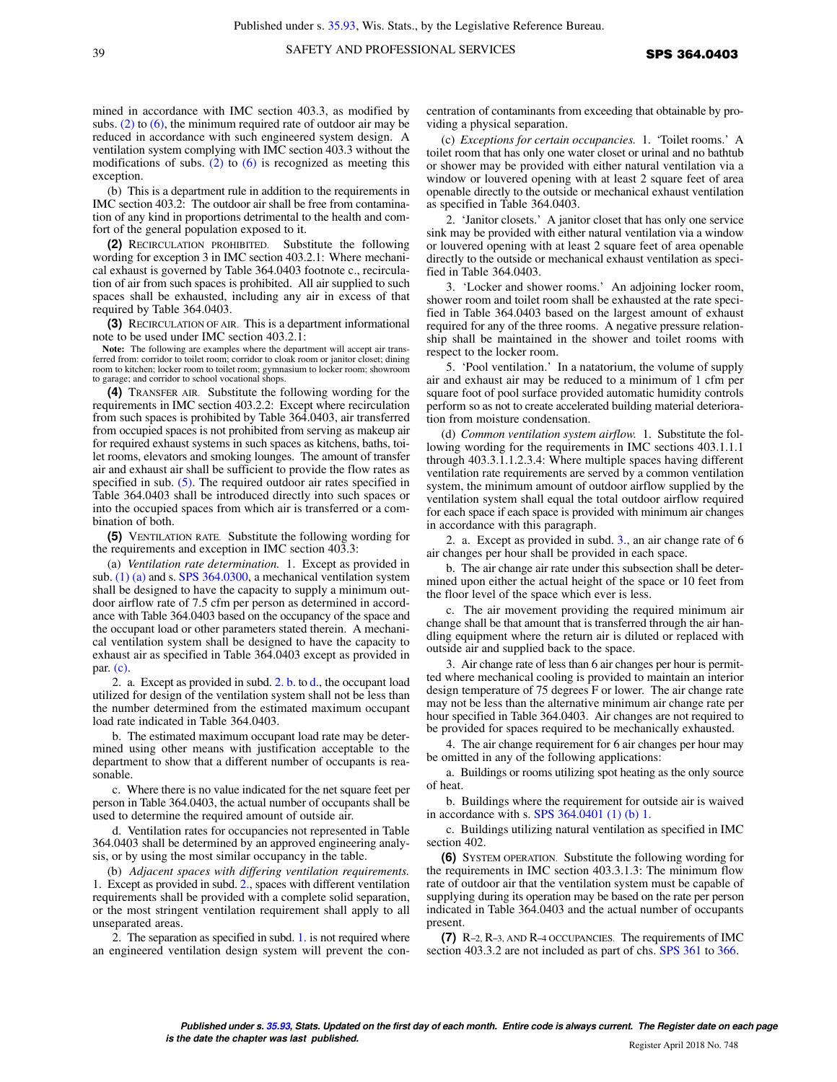mined in accordance with IMC section 403.3, as modified by subs.  $(2)$  to  $(6)$ , the minimum required rate of outdoor air may be reduced in accordance with such engineered system design. A ventilation system complying with IMC section 403.3 without the modifications of subs.  $(2)$  to  $(6)$  is recognized as meeting this exception.

(b) This is a department rule in addition to the requirements in IMC section 403.2: The outdoor air shall be free from contamination of any kind in proportions detrimental to the health and comfort of the general population exposed to it.

**(2)** RECIRCULATION PROHIBITED. Substitute the following wording for exception 3 in IMC section 403.2.1: Where mechanical exhaust is governed by Table 364.0403 footnote c., recirculation of air from such spaces is prohibited. All air supplied to such spaces shall be exhausted, including any air in excess of that required by Table 364.0403.

**(3)** RECIRCULATION OF AIR. This is a department informational note to be used under IMC section 403.2.1:

**Note:** The following are examples where the department will accept air transferred from: corridor to toilet room; corridor to cloak room or janitor closet; dining room to kitchen; locker room to toilet room; gymnasium to locker room; showroom to garage; and corridor to school vocational shops.

**(4)** TRANSFER AIR. Substitute the following wording for the requirements in IMC section 403.2.2: Except where recirculation from such spaces is prohibited by Table 364.0403, air transferred from occupied spaces is not prohibited from serving as makeup air for required exhaust systems in such spaces as kitchens, baths, toilet rooms, elevators and smoking lounges. The amount of transfer air and exhaust air shall be sufficient to provide the flow rates as specified in sub. [\(5\).](https://docs-preview.legis.wisconsin.gov/document/administrativecode/SPS%20364.0403(5)) The required outdoor air rates specified in Table 364.0403 shall be introduced directly into such spaces or into the occupied spaces from which air is transferred or a combination of both.

**(5)** VENTILATION RATE. Substitute the following wording for the requirements and exception in IMC section 403.3:

(a) *Ventilation rate determination.* 1. Except as provided in sub.  $(1)$  (a) and s. [SPS 364.0300,](https://docs-preview.legis.wisconsin.gov/document/administrativecode/SPS%20364.0300) a mechanical ventilation system shall be designed to have the capacity to supply a minimum outdoor airflow rate of 7.5 cfm per person as determined in accordance with Table 364.0403 based on the occupancy of the space and the occupant load or other parameters stated therein. A mechanical ventilation system shall be designed to have the capacity to exhaust air as specified in Table 364.0403 except as provided in par. [\(c\)](https://docs-preview.legis.wisconsin.gov/document/administrativecode/SPS%20364.0403(5)(c)).

2. a. Except as provided in subd. [2. b.](https://docs-preview.legis.wisconsin.gov/document/administrativecode/SPS%20364.0403(5)(a)2.b.) to [d.](https://docs-preview.legis.wisconsin.gov/document/administrativecode/SPS%20364.0403(5)(a)2.d.), the occupant load utilized for design of the ventilation system shall not be less than the number determined from the estimated maximum occupant load rate indicated in Table 364.0403.

b. The estimated maximum occupant load rate may be determined using other means with justification acceptable to the department to show that a different number of occupants is reasonable.

c. Where there is no value indicated for the net square feet per person in Table 364.0403, the actual number of occupants shall be used to determine the required amount of outside air.

d. Ventilation rates for occupancies not represented in Table 364.0403 shall be determined by an approved engineering analysis, or by using the most similar occupancy in the table.

(b) *Adjacent spaces with differing ventilation requirements.* 1. Except as provided in subd. [2.,](https://docs-preview.legis.wisconsin.gov/document/administrativecode/SPS%20364.0403(5)(b)2.) spaces with different ventilation requirements shall be provided with a complete solid separation, or the most stringent ventilation requirement shall apply to all unseparated areas.

2. The separation as specified in subd. [1.](https://docs-preview.legis.wisconsin.gov/document/administrativecode/SPS%20364.0403(5)(b)1.) is not required where an engineered ventilation design system will prevent the con-

centration of contaminants from exceeding that obtainable by providing a physical separation.

(c) *Exceptions for certain occupancies.* 1. 'Toilet rooms.' A toilet room that has only one water closet or urinal and no bathtub or shower may be provided with either natural ventilation via a window or louvered opening with at least 2 square feet of area openable directly to the outside or mechanical exhaust ventilation as specified in Table 364.0403.

2. 'Janitor closets.' A janitor closet that has only one service sink may be provided with either natural ventilation via a window or louvered opening with at least 2 square feet of area openable directly to the outside or mechanical exhaust ventilation as specified in Table 364.0403.

3. 'Locker and shower rooms.' An adjoining locker room, shower room and toilet room shall be exhausted at the rate specified in Table 364.0403 based on the largest amount of exhaust required for any of the three rooms. A negative pressure relationship shall be maintained in the shower and toilet rooms with respect to the locker room.

5. 'Pool ventilation.' In a natatorium, the volume of supply air and exhaust air may be reduced to a minimum of 1 cfm per square foot of pool surface provided automatic humidity controls perform so as not to create accelerated building material deterioration from moisture condensation.

(d) *Common ventilation system airflow.* 1. Substitute the following wording for the requirements in IMC sections 403.1.1.1 through 403.3.1.1.2.3.4: Where multiple spaces having different ventilation rate requirements are served by a common ventilation system, the minimum amount of outdoor airflow supplied by the ventilation system shall equal the total outdoor airflow required for each space if each space is provided with minimum air changes in accordance with this paragraph.

2. a. Except as provided in subd. [3.,](https://docs-preview.legis.wisconsin.gov/document/administrativecode/SPS%20364.0403(5)(d)3.) an air change rate of 6 air changes per hour shall be provided in each space.

b. The air change air rate under this subsection shall be determined upon either the actual height of the space or 10 feet from the floor level of the space which ever is less.

c. The air movement providing the required minimum air change shall be that amount that is transferred through the air handling equipment where the return air is diluted or replaced with outside air and supplied back to the space.

3. Air change rate of less than 6 air changes per hour is permitted where mechanical cooling is provided to maintain an interior design temperature of 75 degrees F or lower. The air change rate may not be less than the alternative minimum air change rate per hour specified in Table 364.0403. Air changes are not required to be provided for spaces required to be mechanically exhausted.

4. The air change requirement for 6 air changes per hour may be omitted in any of the following applications:

a. Buildings or rooms utilizing spot heating as the only source of heat.

b. Buildings where the requirement for outside air is waived in accordance with s. [SPS 364.0401 \(1\) \(b\) 1.](https://docs-preview.legis.wisconsin.gov/document/administrativecode/SPS%20364.0401(1)(b)1.)

c. Buildings utilizing natural ventilation as specified in IMC section 402.

**(6)** SYSTEM OPERATION. Substitute the following wording for the requirements in IMC section 403.3.1.3: The minimum flow rate of outdoor air that the ventilation system must be capable of supplying during its operation may be based on the rate per person indicated in Table 364.0403 and the actual number of occupants present.

**(7)** R−2, R−3, AND R−4 OCCUPANCIES. The requirements of IMC section 403.3.2 are not included as part of chs. [SPS 361](https://docs-preview.legis.wisconsin.gov/document/administrativecode/ch.%20SPS%20361) to [366.](https://docs-preview.legis.wisconsin.gov/document/administrativecode/ch.%20SPS%20366)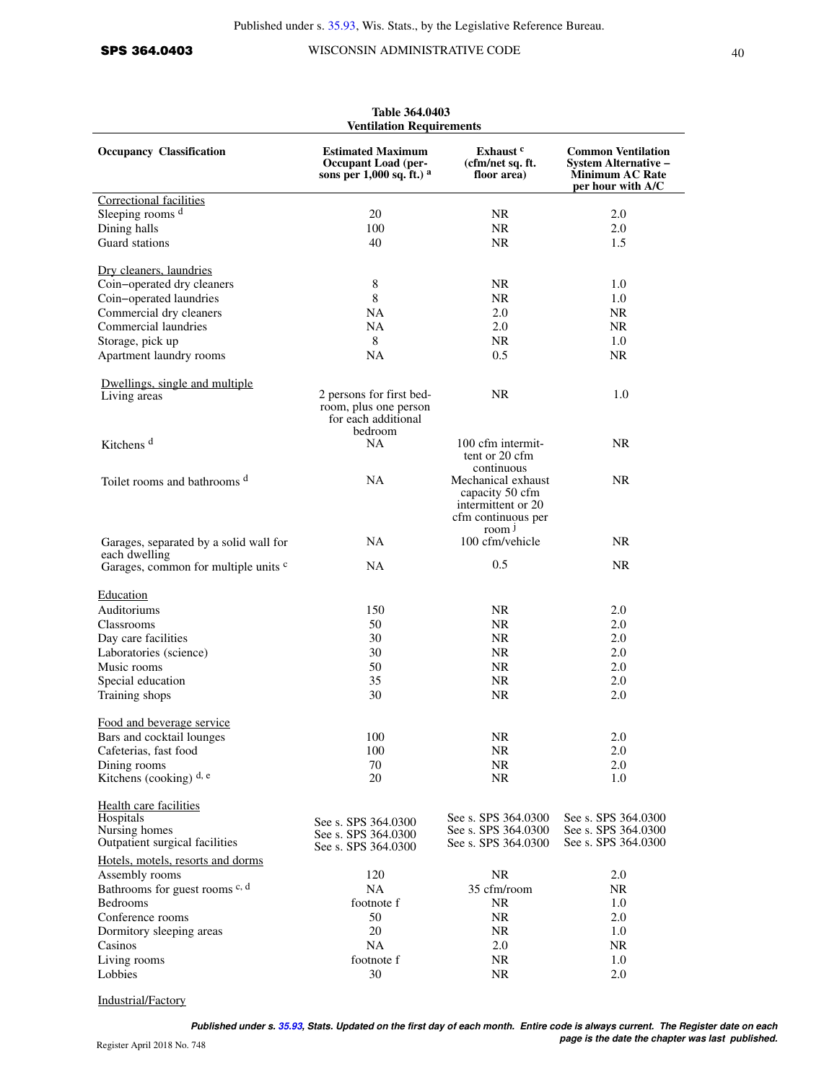SPS 364.0403 WISCONSIN ADMINISTRATIVE CODE 40

| Table 364.0403<br><b>Ventilation Requirements</b>     |                                                                                     |                                                                                                        |                                                                                                  |  |
|-------------------------------------------------------|-------------------------------------------------------------------------------------|--------------------------------------------------------------------------------------------------------|--------------------------------------------------------------------------------------------------|--|
| <b>Occupancy Classification</b>                       | <b>Estimated Maximum</b><br><b>Occupant Load (per-</b><br>sons per 1,000 sq. ft.) a | Exhaust <sup>c</sup><br>(cfm/net sq. ft.<br>floor area)                                                | <b>Common Ventilation</b><br>System Alternative –<br><b>Minimum AC Rate</b><br>per hour with A/C |  |
| Correctional facilities                               |                                                                                     |                                                                                                        |                                                                                                  |  |
| Sleeping rooms d                                      | 20                                                                                  | <b>NR</b>                                                                                              | 2.0                                                                                              |  |
| Dining halls                                          | 100                                                                                 | <b>NR</b>                                                                                              | 2.0                                                                                              |  |
| Guard stations                                        | 40                                                                                  | <b>NR</b>                                                                                              | 1.5                                                                                              |  |
| Dry cleaners, laundries                               |                                                                                     |                                                                                                        |                                                                                                  |  |
| Coin-operated dry cleaners                            | 8                                                                                   | NR.                                                                                                    | 1.0                                                                                              |  |
| Coin-operated laundries                               | 8                                                                                   | NR                                                                                                     | 1.0                                                                                              |  |
| Commercial dry cleaners                               | <b>NA</b>                                                                           | 2.0                                                                                                    | <b>NR</b>                                                                                        |  |
| Commercial laundries                                  | NA                                                                                  | 2.0                                                                                                    | NR                                                                                               |  |
| Storage, pick up                                      | 8                                                                                   | <b>NR</b>                                                                                              | 1.0                                                                                              |  |
| Apartment laundry rooms                               | NA                                                                                  | 0.5                                                                                                    | NR.                                                                                              |  |
| Dwellings, single and multiple                        |                                                                                     |                                                                                                        |                                                                                                  |  |
| Living areas                                          | 2 persons for first bed-<br>room, plus one person<br>for each additional<br>bedroom | <b>NR</b>                                                                                              | 1.0                                                                                              |  |
| Kitchens <sup>d</sup>                                 | <b>NA</b>                                                                           | 100 cfm intermit-<br>tent or 20 cfm<br>continuous                                                      | NR.                                                                                              |  |
| Toilet rooms and bathrooms d                          | NA                                                                                  | Mechanical exhaust<br>capacity 50 cfm<br>intermittent or 20<br>cfm continuous per<br>room <sup>1</sup> | NR.                                                                                              |  |
| Garages, separated by a solid wall for                | NA.                                                                                 | 100 cfm/vehicle                                                                                        | NR.                                                                                              |  |
| each dwelling<br>Garages, common for multiple units c | NA                                                                                  | 0.5                                                                                                    | NR.                                                                                              |  |
| Education                                             |                                                                                     |                                                                                                        |                                                                                                  |  |
| Auditoriums                                           | 150                                                                                 | NR.                                                                                                    | 2.0                                                                                              |  |
| Classrooms                                            | 50                                                                                  | <b>NR</b>                                                                                              | 2.0                                                                                              |  |
| Day care facilities                                   | 30                                                                                  | NR.                                                                                                    | 2.0                                                                                              |  |
|                                                       | 30                                                                                  | <b>NR</b>                                                                                              | 2.0                                                                                              |  |
| Laboratories (science)                                |                                                                                     |                                                                                                        |                                                                                                  |  |
| Music rooms                                           | 50                                                                                  | <b>NR</b>                                                                                              | 2.0                                                                                              |  |
| Special education                                     | 35                                                                                  | <b>NR</b>                                                                                              | 2.0                                                                                              |  |
| Training shops                                        | 30                                                                                  | NR.                                                                                                    | 2.0                                                                                              |  |
| Food and beverage service                             |                                                                                     |                                                                                                        |                                                                                                  |  |
| Bars and cocktail lounges                             | 100                                                                                 | <b>NR</b>                                                                                              | 2.0                                                                                              |  |
| Cafeterias, fast food                                 | 100                                                                                 | <b>NR</b>                                                                                              | 2.0                                                                                              |  |
| Dining rooms                                          | 70                                                                                  | <b>NR</b>                                                                                              | 2.0                                                                                              |  |
| Kitchens (cooking) d, e                               | 20                                                                                  | NR                                                                                                     | 1.0                                                                                              |  |
| <b>Health care facilities</b>                         |                                                                                     | See s. SPS 364.0300                                                                                    | See s. SPS 364.0300                                                                              |  |
| Hospitals<br>Nursing homes                            | See s. SPS 364.0300                                                                 | See s. SPS 364.0300                                                                                    | See s. SPS 364.0300                                                                              |  |
| Outpatient surgical facilities                        | See s. SPS 364.0300<br>See s. SPS 364.0300                                          | See s. SPS 364.0300                                                                                    | See s. SPS 364.0300                                                                              |  |
| Hotels, motels, resorts and dorms                     |                                                                                     |                                                                                                        |                                                                                                  |  |
| Assembly rooms                                        | 120                                                                                 | <b>NR</b>                                                                                              | 2.0                                                                                              |  |
| Bathrooms for guest rooms c, d                        | NA                                                                                  | 35 cfm/room                                                                                            | <b>NR</b>                                                                                        |  |
| Bedrooms                                              | footnote f                                                                          | <b>NR</b>                                                                                              | 1.0                                                                                              |  |
| Conference rooms                                      | 50                                                                                  | <b>NR</b>                                                                                              | 2.0                                                                                              |  |
| Dormitory sleeping areas                              | 20                                                                                  | <b>NR</b>                                                                                              | 1.0                                                                                              |  |
| Casinos                                               | <b>NA</b>                                                                           | 2.0                                                                                                    | <b>NR</b>                                                                                        |  |
| Living rooms                                          | footnote f                                                                          | <b>NR</b>                                                                                              | 1.0                                                                                              |  |
| Lobbies                                               | 30                                                                                  | <b>NR</b>                                                                                              | 2.0                                                                                              |  |

Industrial/Factory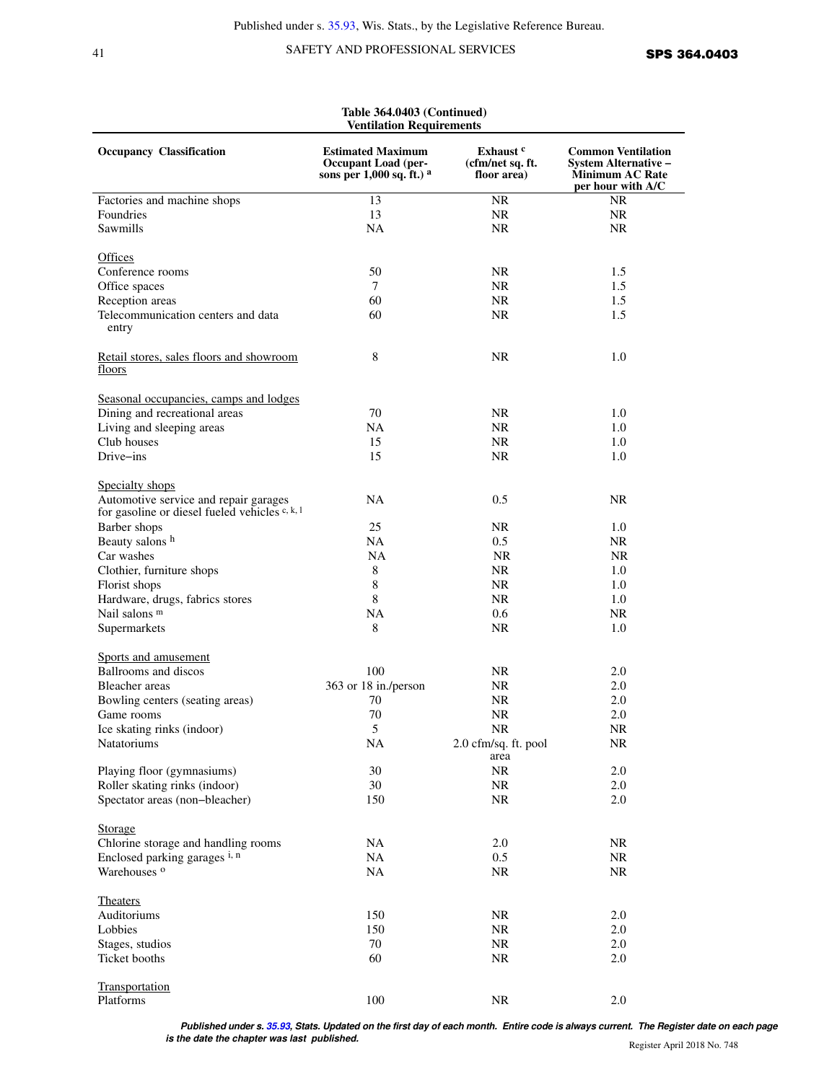## 41 SAFETY AND PROFESSIONAL SERVICES **SPS 364.0403**

| Table 364.0403 (Continued)<br><b>Ventilation Requirements</b>                                              |                                                                                     |                                                         |                                                                                                         |  |  |
|------------------------------------------------------------------------------------------------------------|-------------------------------------------------------------------------------------|---------------------------------------------------------|---------------------------------------------------------------------------------------------------------|--|--|
| <b>Occupancy Classification</b>                                                                            | <b>Estimated Maximum</b><br><b>Occupant Load (per-</b><br>sons per 1,000 sq. ft.) a | Exhaust <sup>c</sup><br>(cfm/net sq. ft.<br>floor area) | <b>Common Ventilation</b><br><b>System Alternative –</b><br><b>Minimum AC Rate</b><br>per hour with A/C |  |  |
| Factories and machine shops                                                                                | 13                                                                                  | NR.                                                     | <b>NR</b>                                                                                               |  |  |
| Foundries                                                                                                  | 13                                                                                  | <b>NR</b>                                               | NR.                                                                                                     |  |  |
| Sawmills                                                                                                   | <b>NA</b>                                                                           | NR.                                                     | NR.                                                                                                     |  |  |
|                                                                                                            |                                                                                     |                                                         |                                                                                                         |  |  |
| <b>Offices</b>                                                                                             |                                                                                     |                                                         |                                                                                                         |  |  |
| Conference rooms                                                                                           | 50                                                                                  | <b>NR</b>                                               | 1.5                                                                                                     |  |  |
| Office spaces                                                                                              | 7                                                                                   | NR.                                                     | 1.5                                                                                                     |  |  |
| Reception areas                                                                                            | 60                                                                                  | NR.                                                     | 1.5                                                                                                     |  |  |
| Telecommunication centers and data                                                                         | 60                                                                                  | NR.                                                     | 1.5                                                                                                     |  |  |
| entry                                                                                                      |                                                                                     |                                                         |                                                                                                         |  |  |
| Retail stores, sales floors and showroom<br>floors                                                         | 8                                                                                   | <b>NR</b>                                               | 1.0                                                                                                     |  |  |
| Seasonal occupancies, camps and lodges                                                                     |                                                                                     |                                                         |                                                                                                         |  |  |
| Dining and recreational areas                                                                              | 70                                                                                  | NR.                                                     | 1.0                                                                                                     |  |  |
| Living and sleeping areas                                                                                  | <b>NA</b>                                                                           | <b>NR</b>                                               | 1.0                                                                                                     |  |  |
| Club houses                                                                                                | 15                                                                                  | NR.                                                     | 1.0                                                                                                     |  |  |
|                                                                                                            |                                                                                     |                                                         |                                                                                                         |  |  |
| Drive-ins                                                                                                  | 15                                                                                  | <b>NR</b>                                               | 1.0                                                                                                     |  |  |
| Specialty shops<br>Automotive service and repair garages<br>for gasoline or diesel fueled vehicles c, k, l | <b>NA</b>                                                                           | 0.5                                                     | <b>NR</b>                                                                                               |  |  |
| Barber shops                                                                                               | 25                                                                                  | NR.                                                     | 1.0                                                                                                     |  |  |
| Beauty salons h                                                                                            | <b>NA</b>                                                                           | 0.5                                                     | NR.                                                                                                     |  |  |
| Car washes                                                                                                 | NA.                                                                                 | <b>NR</b>                                               | NR.                                                                                                     |  |  |
|                                                                                                            |                                                                                     | NR.                                                     |                                                                                                         |  |  |
| Clothier, furniture shops                                                                                  | 8<br>8                                                                              |                                                         | 1.0                                                                                                     |  |  |
| Florist shops                                                                                              |                                                                                     | NR.                                                     | 1.0                                                                                                     |  |  |
| Hardware, drugs, fabrics stores                                                                            | 8                                                                                   | NR.                                                     | 1.0                                                                                                     |  |  |
| Nail salons <sup>m</sup>                                                                                   | <b>NA</b>                                                                           | 0.6                                                     | NR.                                                                                                     |  |  |
| Supermarkets                                                                                               | 8                                                                                   | <b>NR</b>                                               | 1.0                                                                                                     |  |  |
| Sports and amusement                                                                                       |                                                                                     |                                                         |                                                                                                         |  |  |
| Ballrooms and discos                                                                                       | 100                                                                                 | NR.                                                     | 2.0                                                                                                     |  |  |
| Bleacher areas                                                                                             | 363 or 18 in./person                                                                | <b>NR</b>                                               | 2.0                                                                                                     |  |  |
| Bowling centers (seating areas)                                                                            | 70                                                                                  | <b>NR</b>                                               | 2.0                                                                                                     |  |  |
| Game rooms                                                                                                 | $70\,$                                                                              | $\rm NR$                                                | $2.0\,$                                                                                                 |  |  |
| Ice skating rinks (indoor)                                                                                 | 5                                                                                   | <b>NR</b>                                               | NR.                                                                                                     |  |  |
| Natatoriums                                                                                                | NA                                                                                  | 2.0 cfm/sq. ft. pool<br>area                            | NR                                                                                                      |  |  |
| Playing floor (gymnasiums)                                                                                 | 30                                                                                  | <b>NR</b>                                               | 2.0                                                                                                     |  |  |
| Roller skating rinks (indoor)                                                                              | 30                                                                                  | <b>NR</b>                                               | 2.0                                                                                                     |  |  |
| Spectator areas (non-bleacher)                                                                             | 150                                                                                 | <b>NR</b>                                               | 2.0                                                                                                     |  |  |
| <b>Storage</b>                                                                                             |                                                                                     |                                                         |                                                                                                         |  |  |
| Chlorine storage and handling rooms                                                                        | NA                                                                                  | 2.0                                                     | NR                                                                                                      |  |  |
| Enclosed parking garages i, n                                                                              | <b>NA</b>                                                                           | 0.5                                                     | NR                                                                                                      |  |  |
| Warehouses <sup>o</sup>                                                                                    | <b>NA</b>                                                                           | <b>NR</b>                                               | $\rm NR$                                                                                                |  |  |
| <b>Theaters</b>                                                                                            |                                                                                     |                                                         |                                                                                                         |  |  |
| Auditoriums                                                                                                | 150                                                                                 | <b>NR</b>                                               | 2.0                                                                                                     |  |  |
| Lobbies                                                                                                    |                                                                                     |                                                         |                                                                                                         |  |  |
|                                                                                                            | 150                                                                                 | <b>NR</b>                                               | 2.0                                                                                                     |  |  |
| Stages, studios                                                                                            | 70                                                                                  | <b>NR</b>                                               | 2.0                                                                                                     |  |  |
| Ticket booths                                                                                              | 60                                                                                  | $\rm NR$                                                | 2.0                                                                                                     |  |  |
| Transportation                                                                                             |                                                                                     |                                                         |                                                                                                         |  |  |
| Platforms                                                                                                  | 100                                                                                 | $\rm NR$                                                | 2.0                                                                                                     |  |  |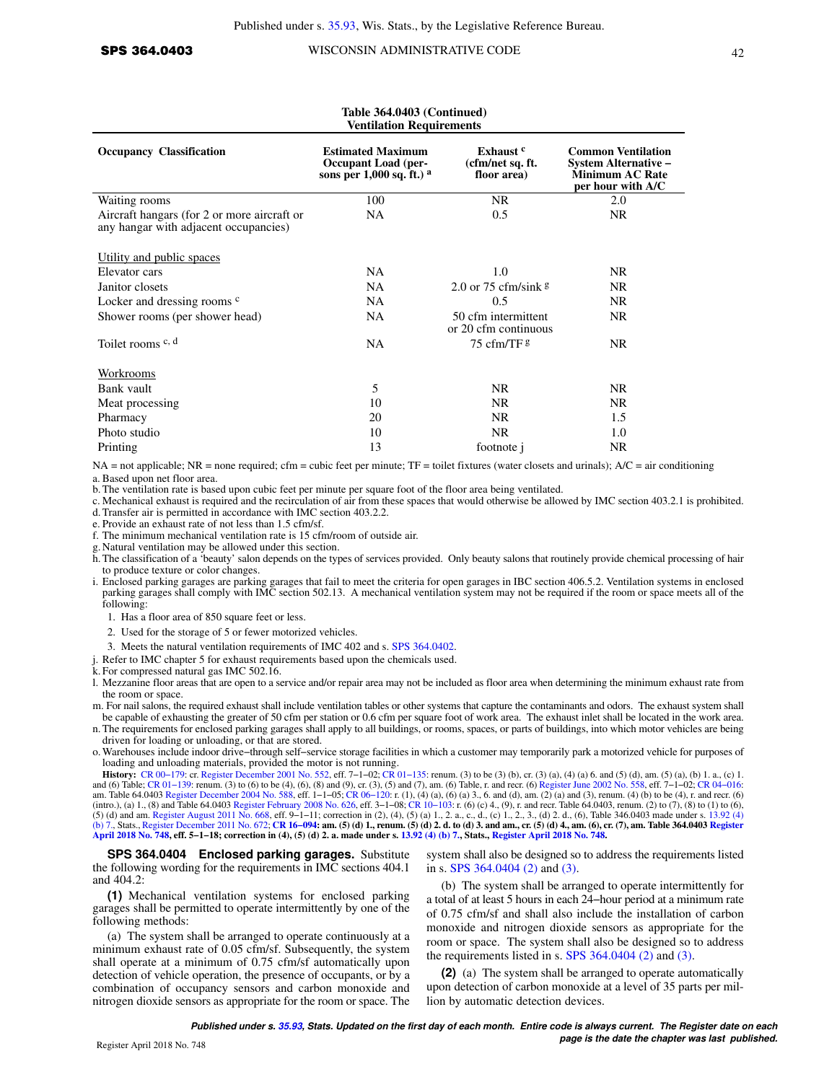#### **Table 364.0403 (Continued) Ventilation Requirements Occupancy Classification Classification Common Ventilation Common Ventilation System Alternative − Minimum AC Rate per hour with A/C Exhaust <sup>c</sup> (cfm/net sq. ft. floor area) Estimated Maximum Occupant Load (persons per 1,000 sq. ft.) <sup>a</sup>** Waiting rooms 100 NR 2.0 Aircraft hangars (for 2 or more aircraft or any hangar with adjacent occupancies) NA 0.5 NR Utility and public spaces Elevator cars NA 1.0 NR Janitor closets NA 2.0 or 75 cfm/sink g NR Locker and dressing rooms <sup>c</sup> NA 0.5 NR Shower rooms (per shower head) NA 50 cfm intermittent or 20 cfm continuous NR Toilet rooms c, d and the NA 75 cfm/TF g NR **Workrooms** Bank vault and the set of the set of the set of the set of the set of the set of the set of the set of the set of the set of the set of the set of the set of the set of the set of the set of the set of the set of the set o Meat processing and the set of the set of the set of the set of the set of the NR NR NR NR NR Pharmacy 20 NR 1.5 Photo studio 10 NR 1.0 Printing NR and 13 footnote j NR

NA = not applicable; NR = none required; cfm = cubic feet per minute; TF = toilet fixtures (water closets and urinals); A/C = air conditioning a. Based upon net floor area.

b.The ventilation rate is based upon cubic feet per minute per square foot of the floor area being ventilated.

c. Mechanical exhaust is required and the recirculation of air from these spaces that would otherwise be allowed by IMC section 403.2.1 is prohibited.

d. Transfer air is permitted in accordance with IMC section 403.2.2.

e. Provide an exhaust rate of not less than 1.5 cfm/sf.

f. The minimum mechanical ventilation rate is 15 cfm/room of outside air.

g. Natural ventilation may be allowed under this section.

- h. The classification of a 'beauty' salon depends on the types of services provided. Only beauty salons that routinely provide chemical processing of hair to produce texture or color changes.
- i. Enclosed parking garages are parking garages that fail to meet the criteria for open garages in IBC section 406.5.2. Ventilation systems in enclosed parking garages shall comply with IMC section 502.13. A mechanical ventilation system may not be required if the room or space meets all of the following:
	- 1. Has a floor area of 850 square feet or less.
	- 2. Used for the storage of 5 or fewer motorized vehicles.
	- 3. Meets the natural ventilation requirements of IMC 402 and s. [SPS 364.0402](https://docs-preview.legis.wisconsin.gov/document/administrativecode/SPS%20364.0402).
- j. Refer to IMC chapter 5 for exhaust requirements based upon the chemicals used.

k. For compressed natural gas IMC 502.16.

l. Mezzanine floor areas that are open to a service and/or repair area may not be included as floor area when determining the minimum exhaust rate from the room or space.

m. For nail salons, the required exhaust shall include ventilation tables or other systems that capture the contaminants and odors. The exhaust system shall be capable of exhausting the greater of 50 cfm per station or 0.6 cfm per square foot of work area. The exhaust inlet shall be located in the work area.

- n. The requirements for enclosed parking garages shall apply to all buildings, or rooms, spaces, or parts of buildings, into which motor vehicles are being driven for loading or unloading, or that are stored.
- o. Warehouses include indoor drive−through self−service storage facilities in which a customer may temporarily park a motorized vehicle for purposes of loading and unloading materials, provided the motor is not running.

**History:** [CR 00−179](https://docs-preview.legis.wisconsin.gov/document/cr/2000/179): cr. [Register December 2001 No. 552,](https://docs-preview.legis.wisconsin.gov/document/register/552/B/toc) eff. 7−1−02; [CR 01−135:](https://docs-preview.legis.wisconsin.gov/document/cr/2001/135) renum. (3) to be (3) (b), cr. (3) (a), (4) (a) 6. and (5) (d), am. (5) (a), (b) 1. a., (c) 1. and (6) Table; CR 01–139: renum. (3) to (6) to be (4), (6), (8) and (9), cr. (3), (5) and (7), am. (6) Table, r. and recr. (6) [Register June 2002 No. 558,](https://docs-preview.legis.wisconsin.gov/document/register/558/B/toc) eff. 7–1–02; CR 04–016:<br>am. Table 64.0403 Register December 2004 No [\(b\) 7.,](https://docs-preview.legis.wisconsin.gov/document/statutes/13.92(4)(b)7.) Stats., [Register December 2011 No. 672](https://docs-preview.legis.wisconsin.gov/document/register/672/B/toc); **[CR 16−094:](https://docs-preview.legis.wisconsin.gov/document/cr/2016/94) am. (5) (d) 1., renum. (5) (d) 2. d. to (d) 3. and am., cr. (5) (d) 4., am. (6), cr. (7), am. Table 364.0403 [Register](https://docs-preview.legis.wisconsin.gov/document/register/748/B/toc) [April 2018 No. 748,](https://docs-preview.legis.wisconsin.gov/document/register/748/B/toc) eff. 5−1−18; correction in (4), (5) (d) 2. a. made under s. [13.92 \(4\) \(b\) 7.](https://docs-preview.legis.wisconsin.gov/document/statutes/13.92(4)(b)7.), Stats., [Register April 2018 No. 748.](https://docs-preview.legis.wisconsin.gov/document/register/748/B/toc)**

**SPS 364.0404 Enclosed parking garages.** Substitute the following wording for the requirements in IMC sections 404.1 and 404.2:

**(1)** Mechanical ventilation systems for enclosed parking garages shall be permitted to operate intermittently by one of the following methods:

(a) The system shall be arranged to operate continuously at a minimum exhaust rate of 0.05 cfm/sf. Subsequently, the system shall operate at a minimum of 0.75 cfm/sf automatically upon detection of vehicle operation, the presence of occupants, or by a combination of occupancy sensors and carbon monoxide and nitrogen dioxide sensors as appropriate for the room or space. The

system shall also be designed so to address the requirements listed in s. [SPS 364.0404 \(2\)](https://docs-preview.legis.wisconsin.gov/document/administrativecode/SPS%20364.0404(2)) and [\(3\).](https://docs-preview.legis.wisconsin.gov/document/administrativecode/SPS%20364.0404(3))

(b) The system shall be arranged to operate intermittently for a total of at least 5 hours in each 24−hour period at a minimum rate of 0.75 cfm/sf and shall also include the installation of carbon monoxide and nitrogen dioxide sensors as appropriate for the room or space. The system shall also be designed so to address the requirements listed in s. [SPS 364.0404 \(2\)](https://docs-preview.legis.wisconsin.gov/document/administrativecode/SPS%20364.0404(2)) and [\(3\)](https://docs-preview.legis.wisconsin.gov/document/administrativecode/SPS%20364.0404(3)).

**(2)** (a) The system shall be arranged to operate automatically upon detection of carbon monoxide at a level of 35 parts per million by automatic detection devices.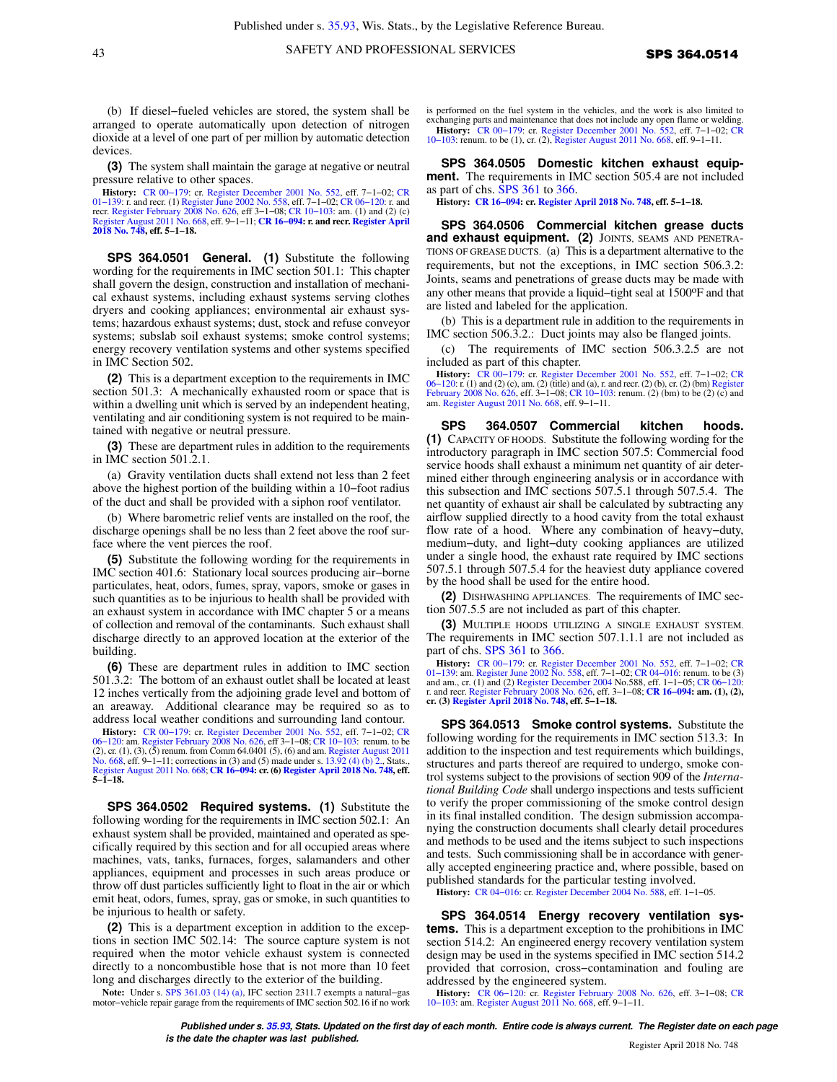(b) If diesel−fueled vehicles are stored, the system shall be arranged to operate automatically upon detection of nitrogen dioxide at a level of one part of per million by automatic detection devices.

**(3)** The system shall maintain the garage at negative or neutral pressure relative to other spaces.

**History:** [CR 00−179:](https://docs-preview.legis.wisconsin.gov/document/cr/2000/179) cr. [Register December 2001 No. 552,](https://docs-preview.legis.wisconsin.gov/document/register/552/B/toc) eff. 7−1−02; [CR](https://docs-preview.legis.wisconsin.gov/document/cr/2001/139) [01−139:](https://docs-preview.legis.wisconsin.gov/document/cr/2001/139) r. and recr. (1) [Register June 2002 No. 558](https://docs-preview.legis.wisconsin.gov/document/register/558/B/toc), eff. 7−1−02; [CR 06−120](https://docs-preview.legis.wisconsin.gov/document/cr/2006/120): r. and recr. [Register February 2008 No. 626](https://docs-preview.legis.wisconsin.gov/document/register/626/B/toc), eff 3−1−08; [CR 10−103:](https://docs-preview.legis.wisconsin.gov/document/cr/2010/103) am. (1) and (2) (c) [Register August 2011 No. 668](https://docs-preview.legis.wisconsin.gov/document/register/668/B/toc), eff. 9−1−11; **[CR 16−094](https://docs-preview.legis.wisconsin.gov/document/cr/2016/94): r. and recr. [Register April](https://docs-preview.legis.wisconsin.gov/document/register/748/B/toc) [2018 No. 748](https://docs-preview.legis.wisconsin.gov/document/register/748/B/toc), eff. 5−1−18.**

**SPS 364.0501 General. (1)** Substitute the following wording for the requirements in IMC section 501.1: This chapter shall govern the design, construction and installation of mechanical exhaust systems, including exhaust systems serving clothes dryers and cooking appliances; environmental air exhaust systems; hazardous exhaust systems; dust, stock and refuse conveyor systems; subslab soil exhaust systems; smoke control systems; energy recovery ventilation systems and other systems specified in IMC Section 502.

**(2)** This is a department exception to the requirements in IMC section 501.3: A mechanically exhausted room or space that is within a dwelling unit which is served by an independent heating, ventilating and air conditioning system is not required to be maintained with negative or neutral pressure.

**(3)** These are department rules in addition to the requirements in IMC section 501.2.1.

(a) Gravity ventilation ducts shall extend not less than 2 feet above the highest portion of the building within a 10−foot radius of the duct and shall be provided with a siphon roof ventilator.

(b) Where barometric relief vents are installed on the roof, the discharge openings shall be no less than 2 feet above the roof surface where the vent pierces the roof.

**(5)** Substitute the following wording for the requirements in IMC section 401.6: Stationary local sources producing air−borne particulates, heat, odors, fumes, spray, vapors, smoke or gases in such quantities as to be injurious to health shall be provided with an exhaust system in accordance with IMC chapter 5 or a means of collection and removal of the contaminants. Such exhaust shall discharge directly to an approved location at the exterior of the building.

**(6)** These are department rules in addition to IMC section 501.3.2: The bottom of an exhaust outlet shall be located at least 12 inches vertically from the adjoining grade level and bottom of an areaway. Additional clearance may be required so as to address local weather conditions and surrounding land contour.

**History:** [CR 00−179:](https://docs-preview.legis.wisconsin.gov/document/cr/2000/179) cr. [Register December 2001 No. 552,](https://docs-preview.legis.wisconsin.gov/document/register/552/B/toc) eff. 7−1−02; [CR](https://docs-preview.legis.wisconsin.gov/document/cr/2006/120) 06–120: am. [Register February 2008 No. 626,](https://docs-preview.legis.wisconsin.gov/document/register/626/B/toc) eff 3–1–08; CR 10–103: renum. to be<br>(2), cr. (1), (3), (5) renum. from Comm 64.0401 (5), (6) and am. [Register August 2011](https://docs-preview.legis.wisconsin.gov/document/register/668/B/toc)<br>[No. 668](https://docs-preview.legis.wisconsin.gov/document/register/668/B/toc), eff. 9–1–11; corrections in (3) and (5) made un [Register August 2011 No. 668](https://docs-preview.legis.wisconsin.gov/document/register/668/B/toc); **[CR 16−094:](https://docs-preview.legis.wisconsin.gov/document/cr/2016/94) cr. (6) [Register April 2018 No. 748](https://docs-preview.legis.wisconsin.gov/document/register/748/B/toc), eff. 5−1−18.**

**SPS 364.0502 Required systems. (1)** Substitute the following wording for the requirements in IMC section 502.1: An exhaust system shall be provided, maintained and operated as specifically required by this section and for all occupied areas where machines, vats, tanks, furnaces, forges, salamanders and other appliances, equipment and processes in such areas produce or throw off dust particles sufficiently light to float in the air or which emit heat, odors, fumes, spray, gas or smoke, in such quantities to be injurious to health or safety.

**(2)** This is a department exception in addition to the exceptions in section IMC 502.14: The source capture system is not required when the motor vehicle exhaust system is connected directly to a noncombustible hose that is not more than 10 feet long and discharges directly to the exterior of the building.

**Note:** Under s. [SPS 361.03 \(14\) \(a\),](https://docs-preview.legis.wisconsin.gov/document/administrativecode/SPS%20361.03(14)(a)) IFC section 2311.7 exempts a natural−gas motor−vehicle repair garage from the requirements of IMC section 502.16 if no work is performed on the fuel system in the vehicles, and the work is also limited to exchanging parts and maintenance that does not include any open flame or welding.

**History:** CR 00–179: cr. [Register December 2001 No. 552](https://docs-preview.legis.wisconsin.gov/document/register/552/B/toc), eff. 7–1–02; [CR](https://docs-preview.legis.wisconsin.gov/document/cr/2010/103) 10–103: renum. to be (1), cr. (2), [Register August 2011 No. 668](https://docs-preview.legis.wisconsin.gov/document/register/668/B/toc), eff. 9–1–11.

**SPS 364.0505 Domestic kitchen exhaust equipment.** The requirements in IMC section 505.4 are not included as part of chs. [SPS 361](https://docs-preview.legis.wisconsin.gov/document/administrativecode/ch.%20SPS%20361) to [366.](https://docs-preview.legis.wisconsin.gov/document/administrativecode/ch.%20SPS%20366)

**History: [CR 16−094:](https://docs-preview.legis.wisconsin.gov/document/cr/2016/94) cr. [Register April 2018 No. 748,](https://docs-preview.legis.wisconsin.gov/document/register/748/B/toc) eff. 5−1−18.**

**SPS 364.0506 Commercial kitchen grease ducts and exhaust equipment. (2)** JOINTS, SEAMS AND PENETRA-TIONS OF GREASE DUCTS. (a) This is a department alternative to the requirements, but not the exceptions, in IMC section 506.3.2: Joints, seams and penetrations of grease ducts may be made with any other means that provide a liquid−tight seal at 1500oF and that are listed and labeled for the application.

(b) This is a department rule in addition to the requirements in IMC section 506.3.2.: Duct joints may also be flanged joints.

(c) The requirements of IMC section 506.3.2.5 are not included as part of this chapter.

**History:** [CR 00−179](https://docs-preview.legis.wisconsin.gov/document/cr/2000/179): cr. [Register December 2001 No. 552](https://docs-preview.legis.wisconsin.gov/document/register/552/B/toc), eff. 7−1−02; [CR](https://docs-preview.legis.wisconsin.gov/document/cr/2006/120) [06−120](https://docs-preview.legis.wisconsin.gov/document/cr/2006/120): r. (1) and (2) (c), am. (2) (title) and (a), r. and recr. (2) (b), cr. (2) (bm) [Register](https://docs-preview.legis.wisconsin.gov/document/register/626/B/toc) [February 2008 No. 626](https://docs-preview.legis.wisconsin.gov/document/register/626/B/toc), eff. 3−1−08; [CR 10−103:](https://docs-preview.legis.wisconsin.gov/document/cr/2010/103) renum. (2) (bm) to be (2) (c) and am. [Register August 2011 No. 668](https://docs-preview.legis.wisconsin.gov/document/register/668/B/toc), eff. 9−1−11.

**SPS 364.0507 Commercial kitchen hoods. (1)** CAPACITY OF HOODS. Substitute the following wording for the introductory paragraph in IMC section 507.5: Commercial food service hoods shall exhaust a minimum net quantity of air determined either through engineering analysis or in accordance with this subsection and IMC sections 507.5.1 through 507.5.4. The net quantity of exhaust air shall be calculated by subtracting any airflow supplied directly to a hood cavity from the total exhaust flow rate of a hood. Where any combination of heavy−duty, medium−duty, and light−duty cooking appliances are utilized under a single hood, the exhaust rate required by IMC sections 507.5.1 through 507.5.4 for the heaviest duty appliance covered by the hood shall be used for the entire hood.

**(2)** DISHWASHING APPLIANCES. The requirements of IMC section 507.5.5 are not included as part of this chapter.

**(3)** MULTIPLE HOODS UTILIZING A SINGLE EXHAUST SYSTEM. The requirements in IMC section 507.1.1.1 are not included as part of chs. [SPS 361](https://docs-preview.legis.wisconsin.gov/document/administrativecode/ch.%20SPS%20361) to [366.](https://docs-preview.legis.wisconsin.gov/document/administrativecode/ch.%20SPS%20366)

**History:** CR 00-179: cr. [Register December 2001 No. 552](https://docs-preview.legis.wisconsin.gov/document/register/552/B/toc), eff. 7-1-02; [CR](https://docs-preview.legis.wisconsin.gov/document/cr/2001/139) 01-139: am. [Register June 2002 No. 558,](https://docs-preview.legis.wisconsin.gov/document/register/558/B/toc) eff. 7-1-02; CR 04-016: renum. to be (3) and am., cr. (1) and (2) [Register December 2004](https://docs-preview.legis.wisconsin.gov/document/register/2004/B/toc) No.588, eff. 1-1-0 **cr. (3) [Register April 2018 No. 748,](https://docs-preview.legis.wisconsin.gov/document/register/748/B/toc) eff. 5−1−18.**

**SPS 364.0513 Smoke control systems.** Substitute the following wording for the requirements in IMC section 513.3: In addition to the inspection and test requirements which buildings, structures and parts thereof are required to undergo, smoke control systems subject to the provisions of section 909 of the *International Building Code* shall undergo inspections and tests sufficient to verify the proper commissioning of the smoke control design in its final installed condition. The design submission accompanying the construction documents shall clearly detail procedures and methods to be used and the items subject to such inspections and tests. Such commissioning shall be in accordance with generally accepted engineering practice and, where possible, based on published standards for the particular testing involved.

**History:** [CR 04−016:](https://docs-preview.legis.wisconsin.gov/document/cr/2004/16) cr. [Register December 2004 No. 588](https://docs-preview.legis.wisconsin.gov/document/register/588/B/toc), eff. 1−1−05.

**SPS 364.0514 Energy recovery ventilation systems.** This is a department exception to the prohibitions in IMC section 514.2: An engineered energy recovery ventilation system design may be used in the systems specified in IMC section 514.2 provided that corrosion, cross−contamination and fouling are addressed by the engineered system.

**History:** [CR 06−120](https://docs-preview.legis.wisconsin.gov/document/cr/2006/120): cr. [Register February 2008 No. 626](https://docs-preview.legis.wisconsin.gov/document/register/626/B/toc), eff. 3−1−08; [CR](https://docs-preview.legis.wisconsin.gov/document/cr/2010/103) [10−103](https://docs-preview.legis.wisconsin.gov/document/cr/2010/103): am. [Register August 2011 No. 668](https://docs-preview.legis.wisconsin.gov/document/register/668/B/toc), eff. 9−1−11.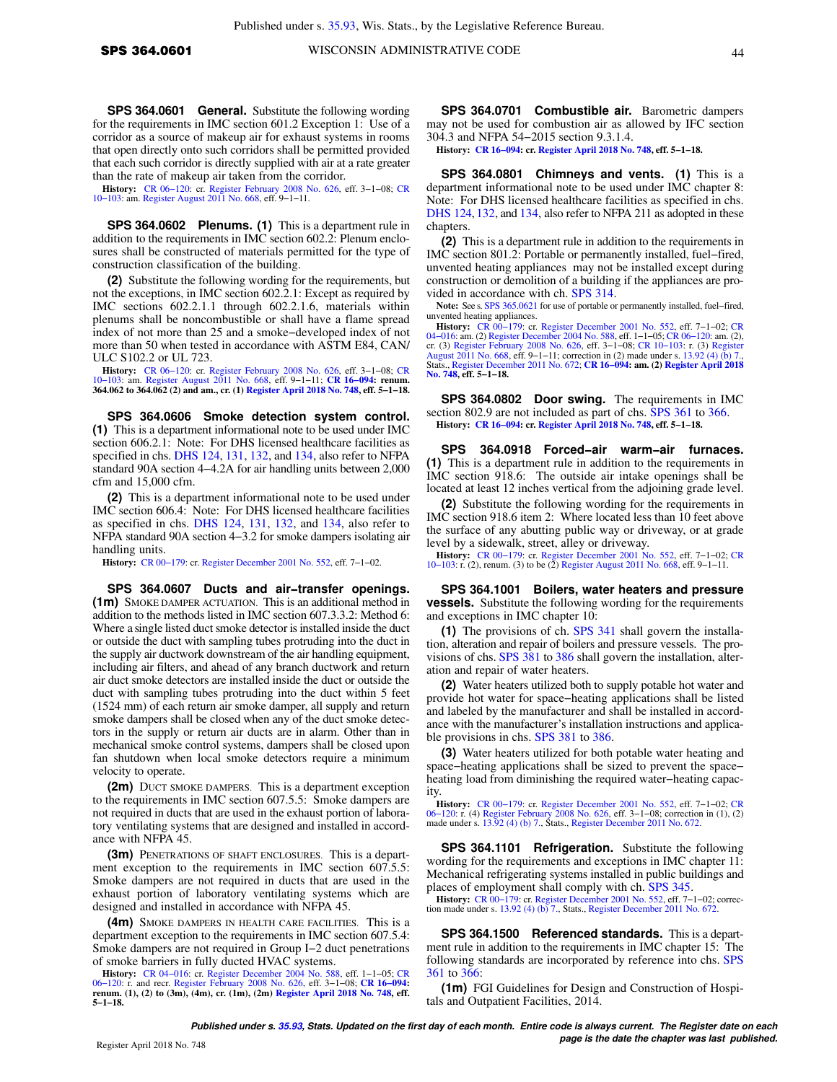**SPS 364.0601 General.** Substitute the following wording for the requirements in IMC section 601.2 Exception 1: Use of a corridor as a source of makeup air for exhaust systems in rooms that open directly onto such corridors shall be permitted provided that each such corridor is directly supplied with air at a rate greater than the rate of makeup air taken from the corridor.

**History:** [CR 06−120:](https://docs-preview.legis.wisconsin.gov/document/cr/2006/120) cr. [Register February 2008 No. 626,](https://docs-preview.legis.wisconsin.gov/document/register/626/B/toc) eff. 3−1−08; [CR](https://docs-preview.legis.wisconsin.gov/document/cr/2010/103) [10−103:](https://docs-preview.legis.wisconsin.gov/document/cr/2010/103) am. [Register August 2011 No. 668,](https://docs-preview.legis.wisconsin.gov/document/register/668/B/toc) eff. 9−1−11.

**SPS 364.0602 Plenums. (1)** This is a department rule in addition to the requirements in IMC section 602.2: Plenum enclosures shall be constructed of materials permitted for the type of construction classification of the building.

**(2)** Substitute the following wording for the requirements, but not the exceptions, in IMC section 602.2.1: Except as required by IMC sections 602.2.1.1 through 602.2.1.6, materials within plenums shall be noncombustible or shall have a flame spread index of not more than 25 and a smoke−developed index of not more than 50 when tested in accordance with ASTM E84, CAN/ ULC S102.2 or UL 723.

**History:** [CR 06−120:](https://docs-preview.legis.wisconsin.gov/document/cr/2006/120) cr. [Register February 2008 No. 626,](https://docs-preview.legis.wisconsin.gov/document/register/626/B/toc) eff. 3−1−08; [CR](https://docs-preview.legis.wisconsin.gov/document/cr/2010/103) [10−103:](https://docs-preview.legis.wisconsin.gov/document/cr/2010/103) am. [Register August 2011 No. 668,](https://docs-preview.legis.wisconsin.gov/document/register/668/B/toc) eff. 9−1−11; **[CR 16−094](https://docs-preview.legis.wisconsin.gov/document/cr/2016/94): renum. 364.062 to 364.062 (2) and am., cr. (1) [Register April 2018 No. 748](https://docs-preview.legis.wisconsin.gov/document/register/748/B/toc), eff. 5−1−18.**

**SPS 364.0606 Smoke detection system control. (1)** This is a department informational note to be used under IMC section 606.2.1: Note: For DHS licensed healthcare facilities as specified in chs. [DHS 124,](https://docs-preview.legis.wisconsin.gov/document/administrativecode/ch.%20DHS%20124) [131,](https://docs-preview.legis.wisconsin.gov/document/administrativecode/ch.%20DHS%20131) [132](https://docs-preview.legis.wisconsin.gov/document/administrativecode/ch.%20DHS%20132), and [134](https://docs-preview.legis.wisconsin.gov/document/administrativecode/ch.%20DHS%20134), also refer to NFPA standard 90A section 4−4.2A for air handling units between 2,000 cfm and 15,000 cfm.

**(2)** This is a department informational note to be used under IMC section 606.4: Note: For DHS licensed healthcare facilities as specified in chs. [DHS 124,](https://docs-preview.legis.wisconsin.gov/document/administrativecode/ch.%20DHS%20124) [131,](https://docs-preview.legis.wisconsin.gov/document/administrativecode/ch.%20DHS%20131) [132,](https://docs-preview.legis.wisconsin.gov/document/administrativecode/ch.%20DHS%20132) and [134,](https://docs-preview.legis.wisconsin.gov/document/administrativecode/ch.%20DHS%20134) also refer to NFPA standard 90A section 4−3.2 for smoke dampers isolating air handling units.

**History:** [CR 00−179](https://docs-preview.legis.wisconsin.gov/document/cr/2000/179): cr. [Register December 2001 No. 552,](https://docs-preview.legis.wisconsin.gov/document/register/552/B/toc) eff. 7−1−02.

**SPS 364.0607 Ducts and air−transfer openings. (1m)** SMOKE DAMPER ACTUATION. This is an additional method in addition to the methods listed in IMC section 607.3.3.2: Method 6: Where a single listed duct smoke detector is installed inside the duct or outside the duct with sampling tubes protruding into the duct in the supply air ductwork downstream of the air handling equipment, including air filters, and ahead of any branch ductwork and return air duct smoke detectors are installed inside the duct or outside the duct with sampling tubes protruding into the duct within 5 feet (1524 mm) of each return air smoke damper, all supply and return smoke dampers shall be closed when any of the duct smoke detectors in the supply or return air ducts are in alarm. Other than in mechanical smoke control systems, dampers shall be closed upon fan shutdown when local smoke detectors require a minimum velocity to operate.

**(2m)** DUCT SMOKE DAMPERS. This is a department exception to the requirements in IMC section 607.5.5: Smoke dampers are not required in ducts that are used in the exhaust portion of laboratory ventilating systems that are designed and installed in accordance with NFPA 45.

**(3m)** PENETRATIONS OF SHAFT ENCLOSURES. This is a department exception to the requirements in IMC section 607.5.5: Smoke dampers are not required in ducts that are used in the exhaust portion of laboratory ventilating systems which are designed and installed in accordance with NFPA 45.

**(4m)** SMOKE DAMPERS IN HEALTH CARE FACILITIES. This is a department exception to the requirements in IMC section 607.5.4: Smoke dampers are not required in Group I−2 duct penetrations of smoke barriers in fully ducted HVAC systems.

**History:** [CR 04−016:](https://docs-preview.legis.wisconsin.gov/document/cr/2004/16) cr. [Register December 2004 No. 588,](https://docs-preview.legis.wisconsin.gov/document/register/588/B/toc) eff. 1−1−05; [CR](https://docs-preview.legis.wisconsin.gov/document/cr/2006/120) [06−120:](https://docs-preview.legis.wisconsin.gov/document/cr/2006/120) r. and recr. [Register February 2008 No. 626,](https://docs-preview.legis.wisconsin.gov/document/register/626/B/toc) eff. 3−1−08; **[CR 16−094:](https://docs-preview.legis.wisconsin.gov/document/cr/2016/94) renum. (1), (2) to (3m), (4m), cr. (1m), (2m) [Register April 2018 No. 748](https://docs-preview.legis.wisconsin.gov/document/register/748/B/toc), eff. 5−1−18.**

**SPS 364.0701 Combustible air.** Barometric dampers may not be used for combustion air as allowed by IFC section 304.3 and NFPA 54−2015 section 9.3.1.4.

**History: [CR 16−094:](https://docs-preview.legis.wisconsin.gov/document/cr/2016/94) cr. [Register April 2018 No. 748,](https://docs-preview.legis.wisconsin.gov/document/register/748/B/toc) eff. 5−1−18.**

**SPS 364.0801 Chimneys and vents. (1)** This is a department informational note to be used under IMC chapter 8: Note: For DHS licensed healthcare facilities as specified in chs. [DHS 124](https://docs-preview.legis.wisconsin.gov/document/administrativecode/ch.%20DHS%20124), [132](https://docs-preview.legis.wisconsin.gov/document/administrativecode/ch.%20DHS%20132), and [134](https://docs-preview.legis.wisconsin.gov/document/administrativecode/ch.%20DHS%20134), also refer to NFPA 211 as adopted in these chapters.

**(2)** This is a department rule in addition to the requirements in IMC section 801.2: Portable or permanently installed, fuel−fired, unvented heating appliances may not be installed except during construction or demolition of a building if the appliances are provided in accordance with ch. [SPS 314](https://docs-preview.legis.wisconsin.gov/document/administrativecode/ch.%20SPS%20314).

**Note:** See s. [SPS 365.0621](https://docs-preview.legis.wisconsin.gov/document/administrativecode/SPS%20365.0621) for use of portable or permanently installed, fuel−fired, unvented heating appliances.

**History:** [CR 00−179](https://docs-preview.legis.wisconsin.gov/document/cr/2000/179): cr. [Register December 2001 No. 552](https://docs-preview.legis.wisconsin.gov/document/register/552/B/toc), eff. 7−1−02; [CR](https://docs-preview.legis.wisconsin.gov/document/cr/2004/16) [04−016](https://docs-preview.legis.wisconsin.gov/document/cr/2004/16): am. (2) [Register December 2004 No. 588,](https://docs-preview.legis.wisconsin.gov/document/register/588/B/toc) eff. 1−1−05; [CR 06−120:](https://docs-preview.legis.wisconsin.gov/document/cr/2006/120) am. (2), cr. (3) [Register February 2008 No. 626](https://docs-preview.legis.wisconsin.gov/document/register/626/B/toc), eff. 3−1−08; [CR 10−103:](https://docs-preview.legis.wisconsin.gov/document/cr/2010/103) r. (3) [Register](https://docs-preview.legis.wisconsin.gov/document/register/668/B/toc) [August 2011 No. 668](https://docs-preview.legis.wisconsin.gov/document/register/668/B/toc), eff. 9−1−11; correction in (2) made under s. [13.92 \(4\) \(b\) 7.](https://docs-preview.legis.wisconsin.gov/document/statutes/13.92(4)(b)7.), Stats., [Register December 2011 No. 672;](https://docs-preview.legis.wisconsin.gov/document/register/672/B/toc) **[CR 16−094](https://docs-preview.legis.wisconsin.gov/document/cr/2016/94): am. (2) [Register April 2018](https://docs-preview.legis.wisconsin.gov/document/register/748/B/toc) [No. 748,](https://docs-preview.legis.wisconsin.gov/document/register/748/B/toc) eff. 5−1−18.**

**SPS 364.0802 Door swing.** The requirements in IMC section 802.9 are not included as part of chs. [SPS 361](https://docs-preview.legis.wisconsin.gov/document/administrativecode/ch.%20SPS%20361) to [366.](https://docs-preview.legis.wisconsin.gov/document/administrativecode/ch.%20SPS%20366) **History: [CR 16−094:](https://docs-preview.legis.wisconsin.gov/document/cr/2016/94) cr. [Register April 2018 No. 748,](https://docs-preview.legis.wisconsin.gov/document/register/748/B/toc) eff. 5−1−18.**

**SPS 364.0918 Forced−air warm−air furnaces. (1)** This is a department rule in addition to the requirements in IMC section 918.6: The outside air intake openings shall be located at least 12 inches vertical from the adjoining grade level.

**(2)** Substitute the following wording for the requirements in IMC section 918.6 item 2: Where located less than 10 feet above the surface of any abutting public way or driveway, or at grade level by a sidewalk, street, alley or driveway.

**History:** [CR 00−179](https://docs-preview.legis.wisconsin.gov/document/cr/2000/179): cr. [Register December 2001 No. 552](https://docs-preview.legis.wisconsin.gov/document/register/552/B/toc), eff. 7−1−02; [CR](https://docs-preview.legis.wisconsin.gov/document/cr/2010/103) [10−103](https://docs-preview.legis.wisconsin.gov/document/cr/2010/103): r. (2), renum. (3) to be (2) [Register August 2011 No. 668](https://docs-preview.legis.wisconsin.gov/document/register/668/B/toc), eff. 9−1−11.

**SPS 364.1001 Boilers, water heaters and pressure vessels.** Substitute the following wording for the requirements and exceptions in IMC chapter 10:

**(1)** The provisions of ch. [SPS 341](https://docs-preview.legis.wisconsin.gov/document/administrativecode/ch.%20SPS%20341) shall govern the installation, alteration and repair of boilers and pressure vessels. The provisions of chs. [SPS 381](https://docs-preview.legis.wisconsin.gov/document/administrativecode/ch.%20SPS%20381) to [386](https://docs-preview.legis.wisconsin.gov/document/administrativecode/ch.%20SPS%20386) shall govern the installation, alteration and repair of water heaters.

**(2)** Water heaters utilized both to supply potable hot water and provide hot water for space−heating applications shall be listed and labeled by the manufacturer and shall be installed in accordance with the manufacturer's installation instructions and applicable provisions in chs. [SPS 381](https://docs-preview.legis.wisconsin.gov/document/administrativecode/ch.%20SPS%20381) to [386](https://docs-preview.legis.wisconsin.gov/document/administrativecode/ch.%20SPS%20386).

**(3)** Water heaters utilized for both potable water heating and space−heating applications shall be sized to prevent the space− heating load from diminishing the required water−heating capacity.

**History:** [CR 00−179](https://docs-preview.legis.wisconsin.gov/document/cr/2000/179): cr. [Register December 2001 No. 552](https://docs-preview.legis.wisconsin.gov/document/register/552/B/toc), eff. 7−1−02; [CR](https://docs-preview.legis.wisconsin.gov/document/cr/2006/120) [06−120](https://docs-preview.legis.wisconsin.gov/document/cr/2006/120): r. (4) [Register February 2008 No. 626](https://docs-preview.legis.wisconsin.gov/document/register/626/B/toc), eff. 3−1−08; correction in (1), (2) made under s. [13.92 \(4\) \(b\) 7.,](https://docs-preview.legis.wisconsin.gov/document/statutes/13.92(4)(b)7.) Stats., [Register December 2011 No. 672.](https://docs-preview.legis.wisconsin.gov/document/register/672/B/toc)

**SPS 364.1101 Refrigeration.** Substitute the following wording for the requirements and exceptions in IMC chapter 11: Mechanical refrigerating systems installed in public buildings and places of employment shall comply with ch. [SPS 345](https://docs-preview.legis.wisconsin.gov/document/administrativecode/ch.%20SPS%20345).

**History:** [CR 00−179:](https://docs-preview.legis.wisconsin.gov/document/cr/2000/179) cr. [Register December 2001 No. 552](https://docs-preview.legis.wisconsin.gov/document/register/552/B/toc), eff. 7−1−02; correc-tion made under s. [13.92 \(4\) \(b\) 7.](https://docs-preview.legis.wisconsin.gov/document/statutes/13.92(4)(b)7.), Stats., [Register December 2011 No. 672](https://docs-preview.legis.wisconsin.gov/document/register/672/B/toc).

**SPS 364.1500 Referenced standards.** This is a department rule in addition to the requirements in IMC chapter 15: The following standards are incorporated by reference into chs. [SPS](https://docs-preview.legis.wisconsin.gov/document/administrativecode/ch.%20SPS%20361) [361](https://docs-preview.legis.wisconsin.gov/document/administrativecode/ch.%20SPS%20361) to [366:](https://docs-preview.legis.wisconsin.gov/document/administrativecode/ch.%20SPS%20366)

**(1m)** FGI Guidelines for Design and Construction of Hospitals and Outpatient Facilities, 2014.